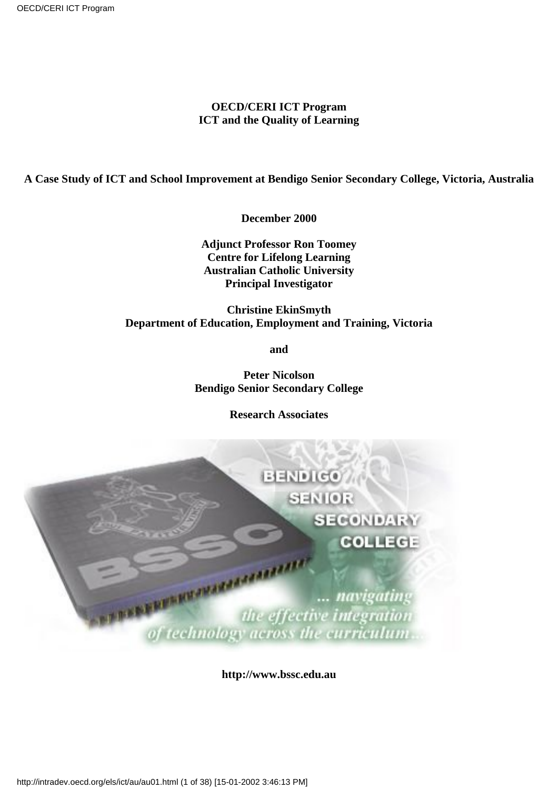#### **OECD/CERI ICT Program ICT and the Quality of Learning**

#### **A Case Study of ICT and School Improvement at Bendigo Senior Secondary College, Victoria, Australia**

**December 2000**

**Adjunct Professor Ron Toomey Centre for Lifelong Learning Australian Catholic University Principal Investigator**

#### **Christine EkinSmyth Department of Education, Employment and Training, Victoria**

**and**

**Peter Nicolson Bendigo Senior Secondary College**

**Research Associates**



**http://www.bssc.edu.au**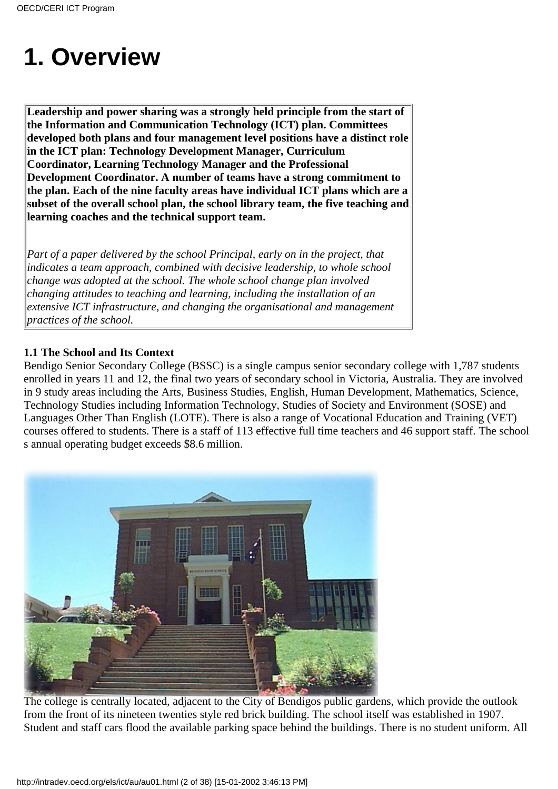## **1. Overview**

**Leadership and power sharing was a strongly held principle from the start of the Information and Communication Technology (ICT) plan. Committees developed both plans and four management level positions have a distinct role in the ICT plan: Technology Development Manager, Curriculum Coordinator, Learning Technology Manager and the Professional Development Coordinator. A number of teams have a strong commitment to the plan. Each of the nine faculty areas have individual ICT plans which are a subset of the overall school plan, the school library team, the five teaching and learning coaches and the technical support team.**

*Part of a paper delivered by the school Principal, early on in the project, that indicates a team approach, combined with decisive leadership, to whole school change was adopted at the school. The whole school change plan involved changing attitudes to teaching and learning, including the installation of an extensive ICT infrastructure, and changing the organisational and management practices of the school.*

#### **1.1 The School and Its Context**

Bendigo Senior Secondary College (BSSC) is a single campus senior secondary college with 1,787 students enrolled in years 11 and 12, the final two years of secondary school in Victoria, Australia. They are involved in 9 study areas including the Arts, Business Studies, English, Human Development, Mathematics, Science, Technology Studies including Information Technology, Studies of Society and Environment (SOSE) and Languages Other Than English (LOTE). There is also a range of Vocational Education and Training (VET) courses offered to students. There is a staff of 113 effective full time teachers and 46 support staff. The school s annual operating budget exceeds \$8.6 million.



The college is centrally located, adjacent to the City of Bendigo s public gardens, which provide the outlook from the front of its nineteen twenties style red brick building. The school itself was established in 1907. Student and staff cars flood the available parking space behind the buildings. There is no student uniform. All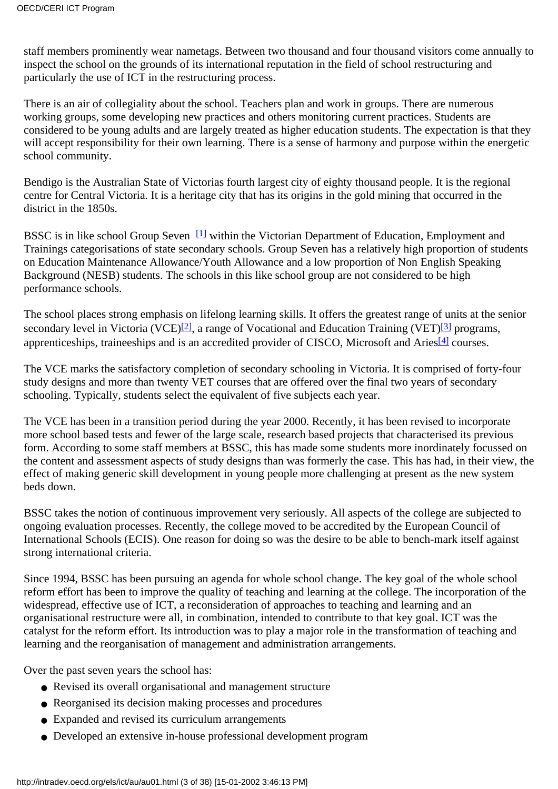staff members prominently wear nametags. Between two thousand and four thousand visitors come annually to inspect the school on the grounds of its international reputation in the field of school restructuring and particularly the use of ICT in the restructuring process.

There is an air of collegiality about the school. Teachers plan and work in groups. There are numerous working groups, some developing new practices and others monitoring current practices. Students are considered to be young adults and are largely treated as higher education students. The expectation is that they will accept responsibility for their own learning. There is a sense of harmony and purpose within the energetic school community.

Bendigo is the Australian State of Victorias fourth largest city of eighty thousand people. It is the regional centre for Central Victoria. It is a heritage city that has its origins in the gold mining that occurred in the district in the 1850s.

<span id="page-2-0"></span>BSSC is in like school Group Seven<sup>[\[1\]](#page-36-0)</sup> within the Victorian Department of Education, Employment and Trainings categorisations of state secondary schools. Group Seven has a relatively high proportion of students on Education Maintenance Allowance/Youth Allowance and a low proportion of Non English Speaking Background (NESB) students. The schools in this like school group are not considered to be high performance schools.

<span id="page-2-1"></span>The school places strong emphasis on lifelong learning skills. It offers the greatest range of units at the senior secondary level in Victoria (VCE)<sup>[2]</sup>, a range of Vocational and Education Training (VET)<sup>[\[3\]](#page-37-1)</sup> programs, apprenticeships, traineeships and is an accredited provider of CISCO, Microsoft and Aries<sup>[4]</sup> courses.

<span id="page-2-2"></span>The VCE marks the satisfactory completion of secondary schooling in Victoria. It is comprised of forty-four study designs and more than twenty VET courses that are offered over the final two years of secondary schooling. Typically, students select the equivalent of five subjects each year.

The VCE has been in a transition period during the year 2000. Recently, it has been revised to incorporate more school based tests and fewer of the large scale, research based projects that characterised its previous form. According to some staff members at BSSC, this has made some students more inordinately focussed on the content and assessment aspects of study designs than was formerly the case. This has had, in their view, the effect of making generic skill development in young people more challenging at present as the new system beds down.

BSSC takes the notion of continuous improvement very seriously. All aspects of the college are subjected to ongoing evaluation processes. Recently, the college moved to be accredited by the European Council of International Schools (ECIS). One reason for doing so was the desire to be able to bench-mark itself against strong international criteria.

Since 1994, BSSC has been pursuing an agenda for whole school change. The key goal of the whole school reform effort has been to improve the quality of teaching and learning at the college. The incorporation of the widespread, effective use of ICT, a reconsideration of approaches to teaching and learning and an organisational restructure were all, in combination, intended to contribute to that key goal. ICT was the catalyst for the reform effort. Its introduction was to play a major role in the transformation of teaching and learning and the reorganisation of management and administration arrangements.

Over the past seven years the school has:

- Revised its overall organisational and management structure
- Reorganised its decision making processes and procedures
- Expanded and revised its curriculum arrangements
- Developed an extensive in-house professional development program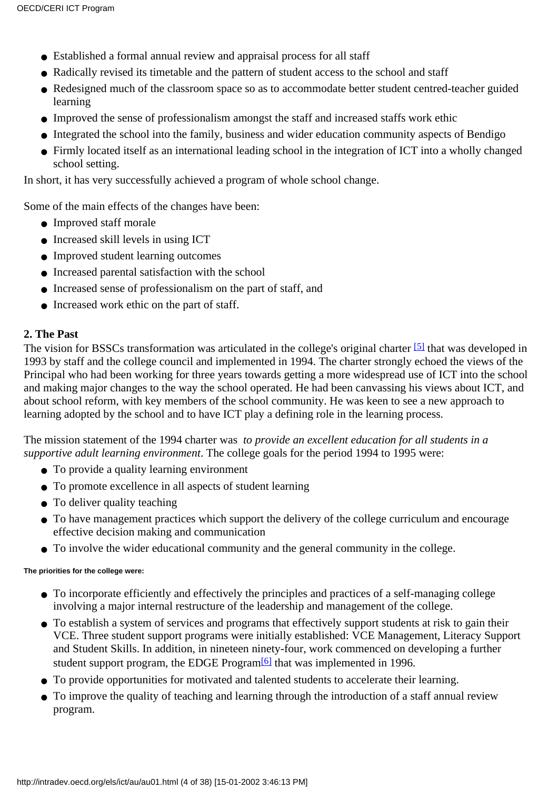- Established a formal annual review and appraisal process for all staff
- Radically revised its timetable and the pattern of student access to the school and staff
- Redesigned much of the classroom space so as to accommodate better student centred-teacher guided learning
- Improved the sense of professionalism amongst the staff and increased staff s work ethic
- Integrated the school into the family, business and wider education community aspects of Bendigo
- Firmly located itself as an international leading school in the integration of ICT into a wholly changed school setting.

In short, it has very successfully achieved a program of whole school change.

Some of the main effects of the changes have been:

- Improved staff morale
- Increased skill levels in using ICT
- Improved student learning outcomes
- Increased parental satisfaction with the school
- Increased sense of professionalism on the part of staff, and
- Increased work ethic on the part of staff.

#### **2. The Past**

<span id="page-3-0"></span>The vision for BSSC s transformation was articulated in the college's original charter<sup>[5]</sup> that was developed in 1993 by staff and the college council and implemented in 1994. The charter strongly echoed the views of the Principal who had been working for three years towards getting a more widespread use of ICT into the school and making major changes to the way the school operated. He had been canvassing his views about ICT, and about school reform, with key members of the school community. He was keen to see a new approach to learning adopted by the school and to have ICT play a defining role in the learning process.

The mission statement of the 1994 charter was *to provide an excellent education for all students in a supportive adult learning environment*. The college goals for the period 1994 to 1995 were:

- To provide a quality learning environment
- To promote excellence in all aspects of student learning
- $\bullet$  To deliver quality teaching
- To have management practices which support the delivery of the college curriculum and encourage effective decision making and communication
- To involve the wider educational community and the general community in the college.

#### **The priorities for the college were:**

- To incorporate efficiently and effectively the principles and practices of a self-managing college involving a major internal restructure of the leadership and management of the college.
- To establish a system of services and programs that effectively support students at risk to gain their VCE. Three student support programs were initially established: VCE Management, Literacy Support and Student Skills. In addition, in nineteen ninety-four, work commenced on developing a further student support program, the EDGE Program<sup>[6]</sup> that was implemented in 1996.
- <span id="page-3-1"></span>● To provide opportunities for motivated and talented students to accelerate their learning.
- To improve the quality of teaching and learning through the introduction of a staff annual review program.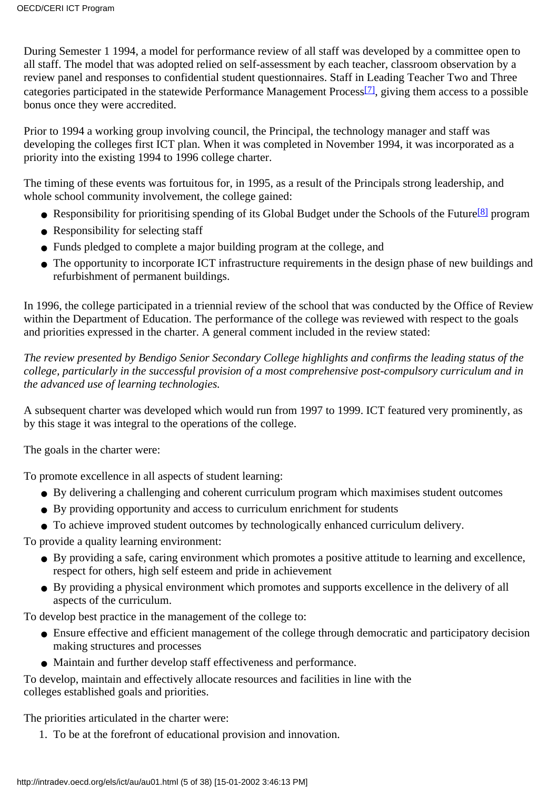<span id="page-4-0"></span>During Semester 1 1994, a model for performance review of all staff was developed by a committee open to all staff. The model that was adopted relied on self-assessment by each teacher, classroom observation by a review panel and responses to confidential student questionnaires. Staff in Leading Teacher Two and Three categories participated in the statewide Performance Management Proces[s\[7\],](#page-37-5) giving them access to a possible bonus once they were accredited.

Prior to 1994 a working group involving council, the Principal, the technology manager and staff was developing the college s first ICT plan. When it was completed in November 1994, it was incorporated as a priority into the existing 1994 to 1996 college charter.

<span id="page-4-1"></span>The timing of these events was fortuitous for, in 1995, as a result of the Principal s strong leadership, and whole school community involvement, the college gained:

- Responsibility for prioritising spending of its Global Budget under the Schools of the Future<sup>[8]</sup> program
- Responsibility for selecting staff
- Funds pledged to complete a major building program at the college, and
- The opportunity to incorporate ICT infrastructure requirements in the design phase of new buildings and refurbishment of permanent buildings.

In 1996, the college participated in a triennial review of the school that was conducted by the Office of Review within the Department of Education. The performance of the college was reviewed with respect to the goals and priorities expressed in the charter. A general comment included in the review stated:

*The review presented by Bendigo Senior Secondary College highlights and confirms the leading status of the college, particularly in the successful provision of a most comprehensive post-compulsory curriculum and in the advanced use of learning technologies.*

A subsequent charter was developed which would run from 1997 to 1999. ICT featured very prominently, as by this stage it was integral to the operations of the college.

The goals in the charter were:

To promote excellence in all aspects of student learning:

- By delivering a challenging and coherent curriculum program which maximises student outcomes
- By providing opportunity and access to curriculum enrichment for students
- To achieve improved student outcomes by technologically enhanced curriculum delivery.

To provide a quality learning environment:

- By providing a safe, caring environment which promotes a positive attitude to learning and excellence, respect for others, high self esteem and pride in achievement
- By providing a physical environment which promotes and supports excellence in the delivery of all aspects of the curriculum.

To develop best practice in the management of the college to:

- Ensure effective and efficient management of the college through democratic and participatory decision making structures and processes
- Maintain and further develop staff effectiveness and performance.

To develop, maintain and effectively allocate resources and facilities in line with the college s established goals and priorities.

The priorities articulated in the charter were:

1. To be at the forefront of educational provision and innovation.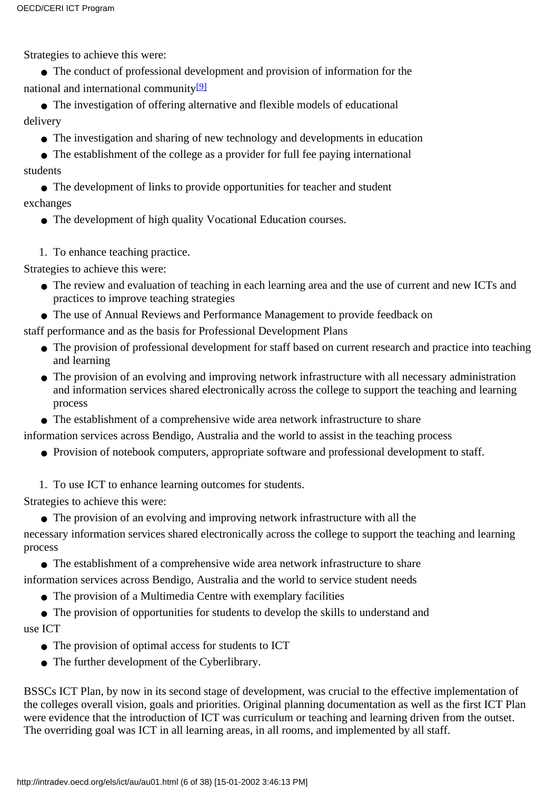Strategies to achieve this were:

● The conduct of professional development and provision of information for the national and international community $[9]$ 

<span id="page-5-0"></span>● The investigation of offering alternative and flexible models of educational delivery

• The investigation and sharing of new technology and developments in education

• The establishment of the college as a provider for full fee paying international students

• The development of links to provide opportunities for teacher and student exchanges

• The development of high quality Vocational Education courses.

1. To enhance teaching practice.

Strategies to achieve this were:

- The review and evaluation of teaching in each learning area and the use of current and new ICTs and practices to improve teaching strategies
- The use of Annual Reviews and Performance Management to provide feedback on

staff performance and as the basis for Professional Development Plans

- The provision of professional development for staff based on current research and practice into teaching and learning
- The provision of an evolving and improving network infrastructure with all necessary administration and information services shared electronically across the college to support the teaching and learning process
- The establishment of a comprehensive wide area network infrastructure to share

information services across Bendigo, Australia and the world to assist in the teaching process

- Provision of notebook computers, appropriate software and professional development to staff.
- 1. To use ICT to enhance learning outcomes for students.

Strategies to achieve this were:

● The provision of an evolving and improving network infrastructure with all the

necessary information services shared electronically across the college to support the teaching and learning process

● The establishment of a comprehensive wide area network infrastructure to share

information services across Bendigo, Australia and the world to service student needs

• The provision of a Multimedia Centre with exemplary facilities

• The provision of opportunities for students to develop the skills to understand and use ICT

- The provision of optimal access for students to ICT
- The further development of the Cyberlibrary.

BSSC s ICT Plan, by now in its second stage of development, was crucial to the effective implementation of the college s overall vision, goals and priorities. Original planning documentation as well as the first ICT Plan were evidence that the introduction of ICT was curriculum or teaching and learning driven from the outset. The overriding goal was ICT in all learning areas, in all rooms, and implemented by all staff.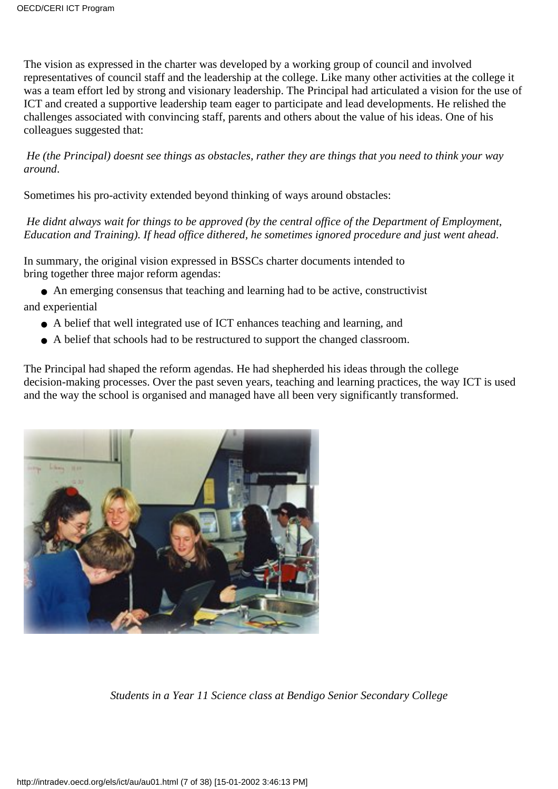The vision as expressed in the charter was developed by a working group of council and involved representatives of council staff and the leadership at the college. Like many other activities at the college it was a team effort led by strong and visionary leadership. The Principal had articulated a vision for the use of ICT and created a supportive leadership team eager to participate and lead developments. He relished the challenges associated with convincing staff, parents and others about the value of his ideas. One of his colleagues suggested that:

*He (the Principal) doesn t see things as obstacles, rather they are things that you need to think your way around*.

Sometimes his pro-activity extended beyond thinking of ways around obstacles:

*He didnt always wait for things to be approved (by the central office of the Department of Employment, Education and Training). If head office dithered, he sometimes ignored procedure and just went ahead*.

In summary, the original vision expressed in BSSC s charter documents intended to bring together three major reform agendas:

● An emerging consensus that teaching and learning had to be active, constructivist and experiential

- A belief that well integrated use of ICT enhances teaching and learning, and
- A belief that schools had to be restructured to support the changed classroom.

The Principal had shaped the reform agendas. He had shepherded his ideas through the college decision-making processes. Over the past seven years, teaching and learning practices, the way ICT is used and the way the school is organised and managed have all been very significantly transformed.



*Students in a Year 11 Science class at Bendigo Senior Secondary College*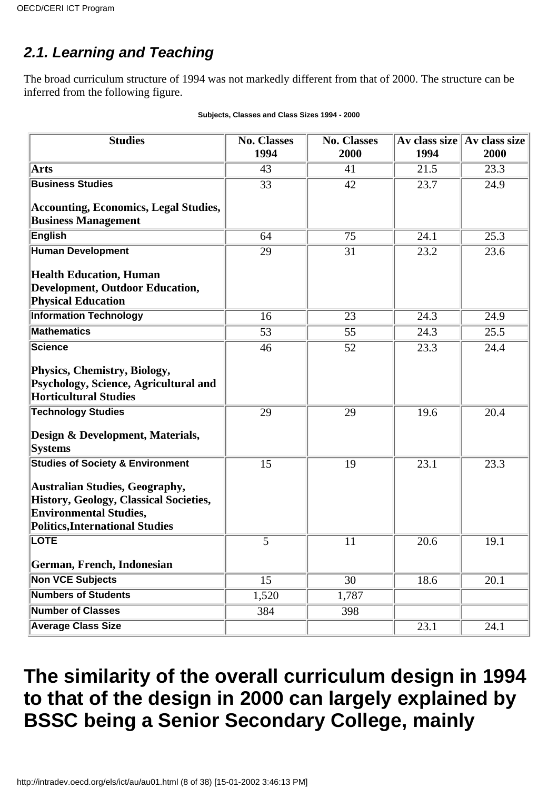### **2.1. Learning and Teaching**

The broad curriculum structure of 1994 was not markedly different from that of 2000. The structure can be inferred from the following figure.

| <b>Studies</b>                               | <b>No. Classes</b><br>1994 | <b>No. Classes</b><br>2000 | Av class size<br>1994 | Av class size<br>2000 |
|----------------------------------------------|----------------------------|----------------------------|-----------------------|-----------------------|
| Arts                                         | 43                         | 41                         | 21.5                  | 23.3                  |
| <b>Business Studies</b>                      | $\overline{33}$            | 42                         | 23.7                  | 24.9                  |
| <b>Accounting, Economics, Legal Studies,</b> |                            |                            |                       |                       |
| <b>Business Management</b>                   |                            |                            |                       |                       |
| English                                      | 64                         | 75                         | 24.1                  | 25.3                  |
| <b>Human Development</b>                     | 29                         | 31                         | 23.2                  | 23.6                  |
| <b>Health Education, Human</b>               |                            |                            |                       |                       |
| <b>Development, Outdoor Education,</b>       |                            |                            |                       |                       |
| <b>Physical Education</b>                    |                            |                            |                       |                       |
| <b>Information Technology</b>                | 16                         | 23                         | 24.3                  | 24.9                  |
| <b>Mathematics</b>                           | 53                         | 55                         | 24.3                  | 25.5                  |
| <b>Science</b>                               | 46                         | 52                         | 23.3                  | 24.4                  |
| Physics, Chemistry, Biology,                 |                            |                            |                       |                       |
| Psychology, Science, Agricultural and        |                            |                            |                       |                       |
| <b>Horticultural Studies</b>                 |                            |                            |                       |                       |
| <b>Technology Studies</b>                    | 29                         | 29                         | 19.6                  | 20.4                  |
| Design & Development, Materials,             |                            |                            |                       |                       |
| <b>Systems</b>                               |                            |                            |                       |                       |
| <b>Studies of Society &amp; Environment</b>  | 15                         | 19                         | 23.1                  | 23.3                  |
| Australian Studies, Geography,               |                            |                            |                       |                       |
| History, Geology, Classical Societies,       |                            |                            |                       |                       |
| <b>Environmental Studies,</b>                |                            |                            |                       |                       |
| Politics, International Studies              |                            |                            |                       |                       |
| <b>LOTE</b>                                  | 5                          | 11                         | 20.6                  | 19.1                  |
| German, French, Indonesian                   |                            |                            |                       |                       |
| <b>Non VCE Subjects</b>                      | 15                         | 30                         | 18.6                  | 20.1                  |
| <b>Numbers of Students</b>                   | 1,520                      | 1,787                      |                       |                       |
| <b>Number of Classes</b>                     | 384                        | 398                        |                       |                       |
| <b>Average Class Size</b>                    |                            |                            | 23.1                  | 24.1                  |

#### **Subjects, Classes and Class Sizes 1994 - 2000**

### **The similarity of the overall curriculum design in 1994 to that of the design in 2000 can largely explained by BSSC being a Senior Secondary College, mainly**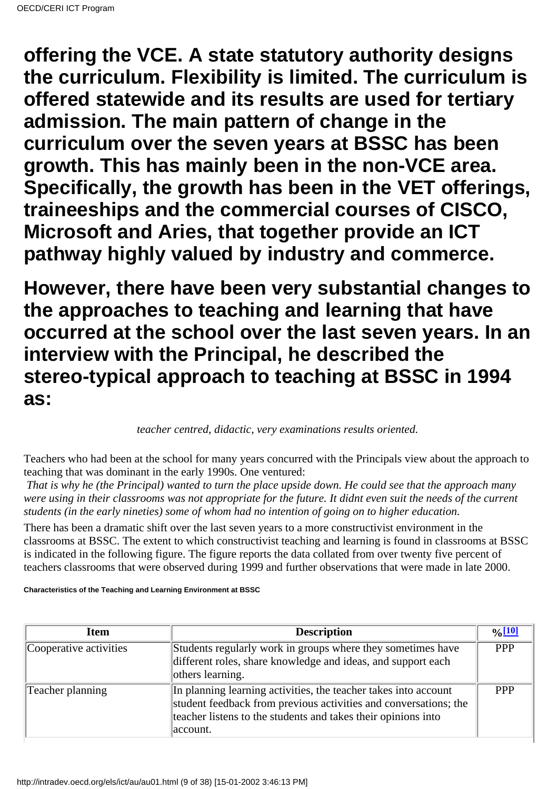**offering the VCE. A state statutory authority designs the curriculum. Flexibility is limited. The curriculum is offered statewide and its results are used for tertiary admission. The main pattern of change in the curriculum over the seven years at BSSC has been growth. This has mainly been in the non-VCE area. Specifically, the growth has been in the VET offerings, traineeships and the commercial courses of CISCO, Microsoft and Aries, that together provide an ICT pathway highly valued by industry and commerce.**

**However, there have been very substantial changes to the approaches to teaching and learning that have occurred at the school over the last seven years. In an interview with the Principal, he described the stereo-typical approach to teaching at BSSC in 1994 as:**

*teacher centred, didactic, very examinations results oriented.*

Teachers who had been at the school for many years concurred with the Principals view about the approach to teaching that was dominant in the early 1990s. One ventured:

*That is why he (the Principal) wanted to turn the place upside down. He could see that the approach many were using in their classrooms was not appropriate for the future. It didnt even suit the needs of the current students (in the early nineties) some of whom had no intention of going on to higher education.*

There has been a dramatic shift over the last seven years to a more constructivist environment in the classrooms at BSSC. The extent to which constructivist teaching and learning is found in classrooms at BSSC is indicated in the following figure. The figure reports the data collated from over twenty five percent of teachers classrooms that were observed during 1999 and further observations that were made in late 2000.

**Characteristics of the Teaching and Learning Environment at BSSC**

<span id="page-8-0"></span>

| <b>Item</b>            | <b>Description</b>                                                                                                                                                                                               | $\frac{0}{10}$ |
|------------------------|------------------------------------------------------------------------------------------------------------------------------------------------------------------------------------------------------------------|----------------|
| Cooperative activities | Students regularly work in groups where they sometimes have<br>different roles, share knowledge and ideas, and support each<br>others learning.                                                                  | <b>PPP</b>     |
| Teacher planning       | In planning learning activities, the teacher takes into account<br>student feedback from previous activities and conversations; the<br>teacher listens to the students and takes their opinions into<br>account. | <b>PPP</b>     |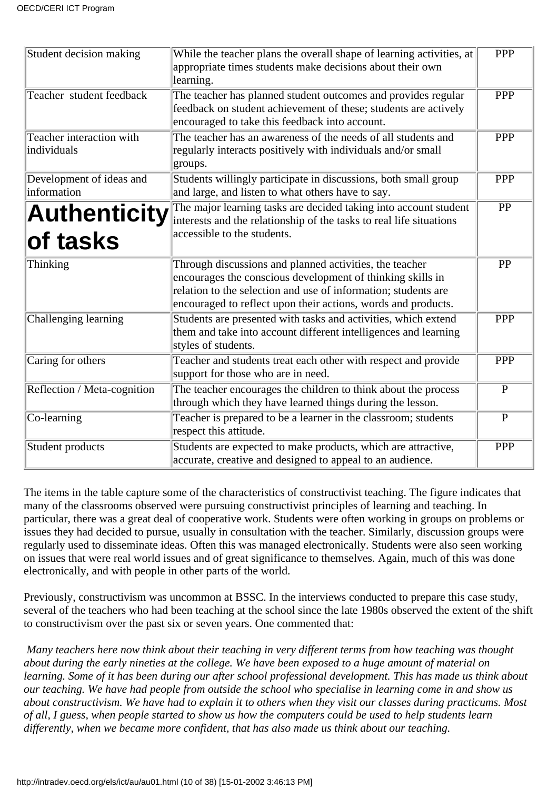| Student decision making                 | While the teacher plans the overall shape of learning activities, at<br>appropriate times students make decisions about their own<br>learning.                                                                                                           | PPP             |
|-----------------------------------------|----------------------------------------------------------------------------------------------------------------------------------------------------------------------------------------------------------------------------------------------------------|-----------------|
| Teacher student feedback                | The teacher has planned student outcomes and provides regular<br>feedback on student achievement of these; students are actively<br>encouraged to take this feedback into account.                                                                       | PPP             |
| Teacher interaction with<br>individuals | The teacher has an awareness of the needs of all students and<br>regularly interacts positively with individuals and/or small<br>groups.                                                                                                                 | <b>PPP</b>      |
| Development of ideas and<br>information | Students willingly participate in discussions, both small group<br>and large, and listen to what others have to say.                                                                                                                                     | <b>PPP</b>      |
| Authenticity<br>of tasks                | The major learning tasks are decided taking into account student<br>interests and the relationship of the tasks to real life situations<br>accessible to the students.                                                                                   | $\overline{PP}$ |
| Thinking                                | Through discussions and planned activities, the teacher<br>encourages the conscious development of thinking skills in<br>relation to the selection and use of information; students are<br>encouraged to reflect upon their actions, words and products. | PP              |
| Challenging learning                    | Students are presented with tasks and activities, which extend<br>them and take into account different intelligences and learning<br>styles of students.                                                                                                 | <b>PPP</b>      |
| Caring for others                       | Teacher and students treat each other with respect and provide<br>support for those who are in need.                                                                                                                                                     | <b>PPP</b>      |
| Reflection / Meta-cognition             | The teacher encourages the children to think about the process<br>through which they have learned things during the lesson.                                                                                                                              | $\overline{P}$  |
| $ Co$ -learning                         | Teacher is prepared to be a learner in the classroom; students<br>respect this attitude.                                                                                                                                                                 | $\overline{P}$  |
| Student products                        | Students are expected to make products, which are attractive,<br>accurate, creative and designed to appeal to an audience.                                                                                                                               | <b>PPP</b>      |

The items in the table capture some of the characteristics of constructivist teaching. The figure indicates that many of the classrooms observed were pursuing constructivist principles of learning and teaching. In particular, there was a great deal of cooperative work. Students were often working in groups on problems or issues they had decided to pursue, usually in consultation with the teacher. Similarly, discussion groups were regularly used to disseminate ideas. Often this was managed electronically. Students were also seen working on issues that were real world issues and of great significance to themselves. Again, much of this was done electronically, and with people in other parts of the world.

Previously, constructivism was uncommon at BSSC. In the interviews conducted to prepare this case study, several of the teachers who had been teaching at the school since the late 1980s observed the extent of the shift to constructivism over the past six or seven years. One commented that:

*Many teachers here now think about their teaching in very different terms from how teaching was thought about during the early nineties at the college. We have been exposed to a huge amount of material on learning. Some of it has been during our after school professional development. This has made us think about our teaching. We have had people from outside the school who specialise in learning come in and show us about constructivism. We have had to explain it to others when they visit our classes during practicums. Most of all, I guess, when people started to show us how the computers could be used to help students learn differently, when we became more confident, that has also made us think about our teaching.*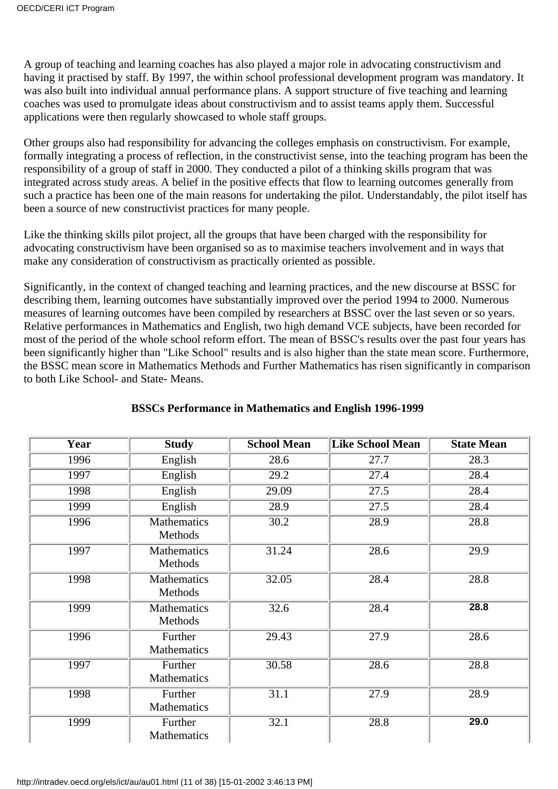A group of teaching and learning coaches has also played a major role in advocating constructivism and having it practised by staff. By 1997, the within school professional development program was mandatory. It was also built into individual annual performance plans. A support structure of five teaching and learning coaches was used to promulgate ideas about constructivism and to assist teams apply them. Successful applications were then regularly showcased to whole staff groups.

Other groups also had responsibility for advancing the college s emphasis on constructivism. For example, formally integrating a process of reflection, in the constructivist sense, into the teaching program has been the responsibility of a group of staff in 2000. They conducted a pilot of a thinking skills program that was integrated across study areas. A belief in the positive effects that flow to learning outcomes generally from such a practice has been one of the main reasons for undertaking the pilot. Understandably, the pilot itself has been a source of new constructivist practices for many people.

Like the thinking skills pilot project, all the groups that have been charged with the responsibility for advocating constructivism have been organised so as to maximise teachers involvement and in ways that make any consideration of constructivism as practically oriented as possible.

Significantly, in the context of changed teaching and learning practices, and the new discourse at BSSC for describing them, learning outcomes have substantially improved over the period 1994 to 2000. Numerous measures of learning outcomes have been compiled by researchers at BSSC over the last seven or so years. Relative performances in Mathematics and English, two high demand VCE subjects, have been recorded for most of the period of the whole school reform effort. The mean of BSSC's results over the past four years has been significantly higher than "Like School" results and is also higher than the state mean score. Furthermore, the BSSC mean score in Mathematics Methods and Further Mathematics has risen significantly in comparison to both Like School- and State- Means.

| Year | <b>Study</b>                  | <b>School Mean</b> | <b>Like School Mean</b> | <b>State Mean</b> |
|------|-------------------------------|--------------------|-------------------------|-------------------|
| 1996 | English                       | 28.6               | 27.7                    | 28.3              |
| 1997 | English                       | 29.2               | 27.4                    | 28.4              |
| 1998 | English                       | 29.09              | 27.5                    | 28.4              |
| 1999 | English                       | 28.9               | 27.5                    | 28.4              |
| 1996 | <b>Mathematics</b><br>Methods | 30.2               | 28.9                    | 28.8              |
| 1997 | Mathematics<br>Methods        | 31.24              | 28.6                    | $\overline{29.9}$ |
| 1998 | <b>Mathematics</b><br>Methods | 32.05              | 28.4                    | 28.8              |
| 1999 | Mathematics<br>Methods        | 32.6               | 28.4                    | 28.8              |
| 1996 | Further<br><b>Mathematics</b> | 29.43              | 27.9                    | 28.6              |
| 1997 | Further<br><b>Mathematics</b> | 30.58              | 28.6                    | 28.8              |
| 1998 | Further<br>Mathematics        | 31.1               | 27.9                    | 28.9              |
| 1999 | Further<br>Mathematics        | 32.1               | 28.8                    | 29.0              |

#### **BSSCs Performance in Mathematics and English 1996-1999**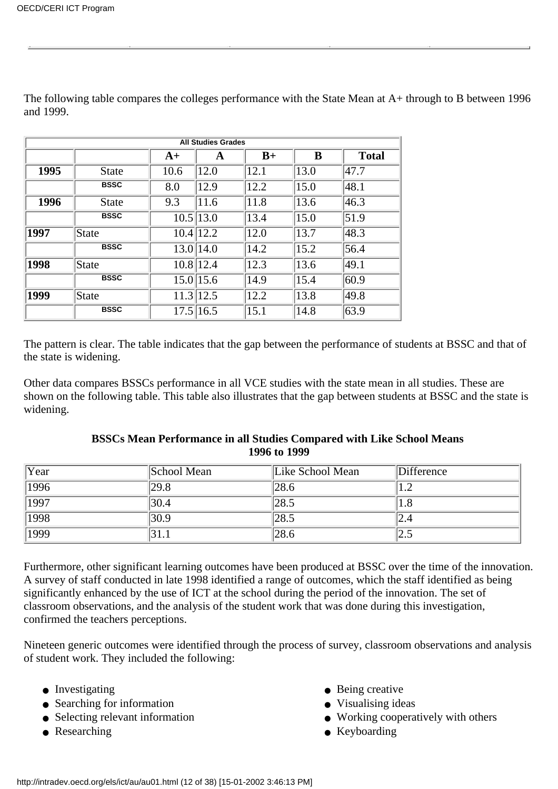|             | <b>All Studies Grades</b> |               |               |      |      |              |
|-------------|---------------------------|---------------|---------------|------|------|--------------|
|             |                           | $A+$          | A             | $B+$ | B    | <b>Total</b> |
| <b>1995</b> | <b>State</b>              | 10.6          | 12.0          | 12.1 | 13.0 | 47.7         |
|             | <b>BSSC</b>               | 8.0           | 12.9          | 12.2 | 15.0 | 48.1         |
| 1996        | <b>State</b>              | 9.3           | 11.6          | 11.8 | 13.6 | 46.3         |
|             | <b>BSSC</b>               | $10.5$   13.0 |               | 13.4 | 15.0 | 51.9         |
| 1997        | State                     |               | $10.4$   12.2 | 12.0 | 13.7 | 48.3         |
|             | <b>BSSC</b>               |               | 13.0 14.0     | 14.2 | 15.2 | 56.4         |
| 1998        | State                     |               | 10.8 12.4     | 12.3 | 13.6 | 49.1         |
|             | <b>BSSC</b>               |               | $15.0\,15.6$  | 14.9 | 15.4 | 60.9         |
| 1999        | State                     |               | 11.3 12.5     | 12.2 | 13.8 | 49.8         |
|             | <b>BSSC</b>               |               | 17.5 16.5     | 15.1 | 14.8 | 63.9         |

The following table compares the college s performance with the State Mean at  $A+$  through to B between 1996 and 1999.

The pattern is clear. The table indicates that the gap between the performance of students at BSSC and that of the state is widening.

Other data compares BSSC s performance in all VCE studies with the state mean in all studies. These are shown on the following table. This table also illustrates that the gap between students at BSSC and the state is widening.

| Year | School Mean       | Like School Mean | Difference |
|------|-------------------|------------------|------------|
| 1996 | 29.8              | 28.6             |            |
| 1997 | 30.4              | 128.5            | 1.8        |
| 1998 | $\overline{30.9}$ | 128.5            | 2.4        |
| 1999 | 31.1              | 28.6             | ل که       |

#### **BSSCs Mean Performance in all Studies Compared with Like School Means 1996 to 1999**

Furthermore, other significant learning outcomes have been produced at BSSC over the time of the innovation. A survey of staff conducted in late 1998 identified a range of outcomes, which the staff identified as being significantly enhanced by the use of ICT at the school during the period of the innovation. The set of classroom observations, and the analysis of the student work that was done during this investigation, confirmed the teachers perceptions.

Nineteen generic outcomes were identified through the process of survey, classroom observations and analysis of student work. They included the following:

- 
- Investigating <br>
Searching for information <br>
Searching for information <br>
Visualising ideas  $\bullet$  Searching for information
- 
- 
- 
- 
- Selecting relevant information Working cooperatively with others
- Researching Keyboarding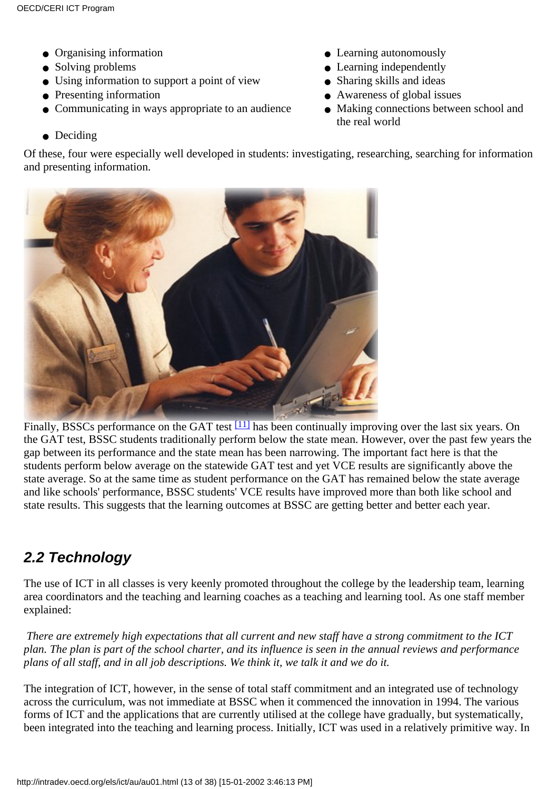- 
- 
- Using information to support a point of view Sharing skills and ideas
- 
- $\bullet$  Communicating in ways appropriate to an audience
- Deciding

• Organising information <br>• Learning autonomously

- Solving problems Learning independently
	-
- Presenting information Awareness of global issues
	- the real world • Making connections between school and

Of these, four were especially well developed in students: investigating, researching, searching for information and presenting information.



<span id="page-12-0"></span>Finally, BSSC s performance on the GAT test<sup>[11]</sup> has been continually improving over the last six years. On the GAT test, BSSC students traditionally perform below the state mean. However, over the past few years the gap between its performance and the state mean has been narrowing. The important fact here is that the students perform below average on the statewide GAT test and yet VCE results are significantly above the state average. So at the same time as student performance on the GAT has remained below the state average and like schools' performance, BSSC students' VCE results have improved more than both like school and state results. This suggests that the learning outcomes at BSSC are getting better and better each year.

### **2.2 Technology**

The use of ICT in all classes is very keenly promoted throughout the college by the leadership team, learning area coordinators and the teaching and learning coaches as a teaching and learning tool. As one staff member explained:

*There are extremely high expectations that all current and new staff have a strong commitment to the ICT plan. The plan is part of the school charter, and its influence is seen in the annual reviews and performance plans of all staff, and in all job descriptions. We think it, we talk it and we do it.*

The integration of ICT, however, in the sense of total staff commitment and an integrated use of technology across the curriculum, was not immediate at BSSC when it commenced the innovation in 1994. The various forms of ICT and the applications that are currently utilised at the college have gradually, but systematically, been integrated into the teaching and learning process. Initially, ICT was used in a relatively primitive way. In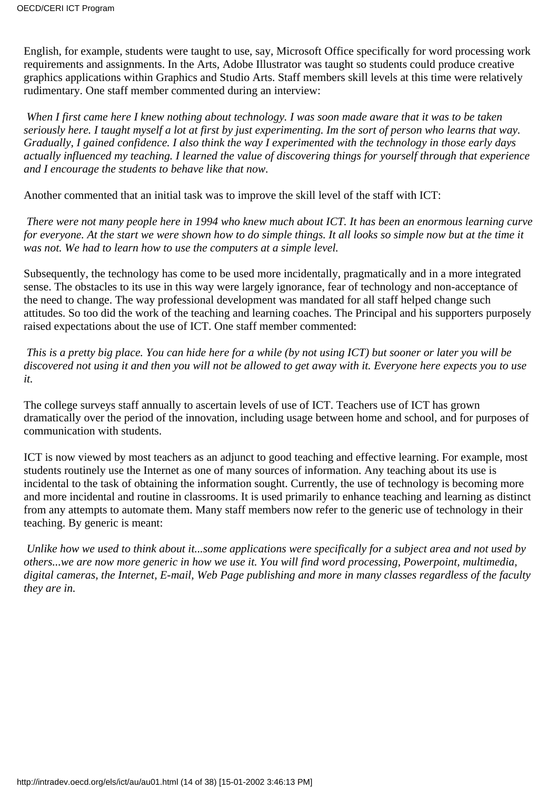English, for example, students were taught to use, say, Microsoft Office specifically for word processing work requirements and assignments. In the Arts, Adobe Illustrator was taught so students could produce creative graphics applications within Graphics and Studio Arts. Staff members skill levels at this time were relatively rudimentary. One staff member commented during an interview:

*When I first came here I knew nothing about technology. I was soon made aware that it was to be taken seriously here. I taught myself a lot at first by just experimenting. Im the sort of person who learns that way. Gradually, I gained confidence. I also think the way I experimented with the technology in those early days actually influenced my teaching. I learned the value of discovering things for yourself through that experience and I encourage the students to behave like that now.*

Another commented that an initial task was to improve the skill level of the staff with ICT:

*There were not many people here in 1994 who knew much about ICT. It has been an enormous learning curve for everyone. At the start we were shown how to do simple things. It all looks so simple now but at the time it was not. We had to learn how to use the computers at a simple level.*

Subsequently, the technology has come to be used more incidentally, pragmatically and in a more integrated sense. The obstacles to its use in this way were largely ignorance, fear of technology and non-acceptance of the need to change. The way professional development was mandated for all staff helped change such attitudes. So too did the work of the teaching and learning coaches. The Principal and his supporters purposely raised expectations about the use of ICT. One staff member commented:

*This is a pretty big place. You can hide here for a while (by not using ICT) but sooner or later you will be discovered not using it and then you will not be allowed to get away with it. Everyone here expects you to use it.*

The college surveys staff annually to ascertain levels of use of ICT. Teachers use of ICT has grown dramatically over the period of the innovation, including usage between home and school, and for purposes of communication with students.

ICT is now viewed by most teachers as an adjunct to good teaching and effective learning. For example, most students routinely use the Internet as one of many sources of information. Any teaching about its use is incidental to the task of obtaining the information sought. Currently, the use of technology is becoming more and more incidental and routine in classrooms. It is used primarily to enhance teaching and learning as distinct from any attempts to automate them. Many staff members now refer to the generic use of technology in their teaching. By generic is meant:

*Unlike how we used to think about it...some applications were specifically for a subject area and not used by others...we are now more generic in how we use it. You will find word processing, Powerpoint, multimedia, digital cameras, the Internet, E-mail, Web Page publishing and more in many classes regardless of the faculty they are in.*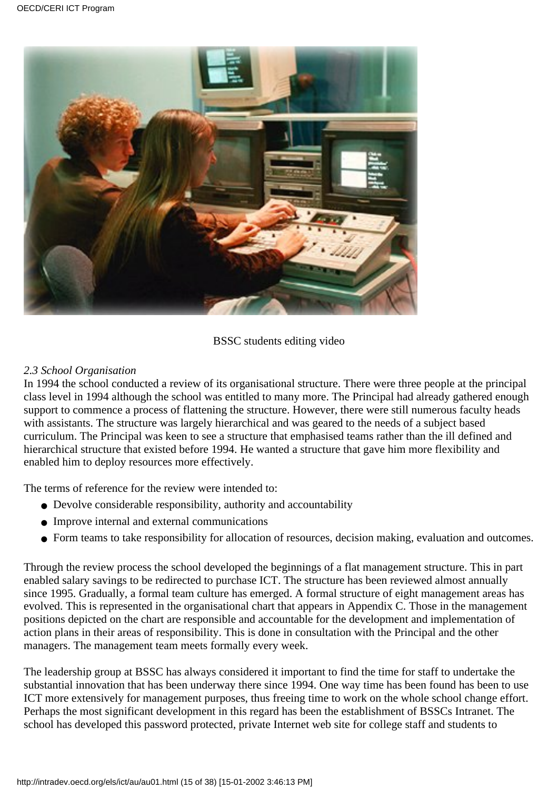

#### BSSC students editing video

#### *2.3 School Organisation*

In 1994 the school conducted a review of its organisational structure. There were three people at the principal class level in 1994 although the school was entitled to many more. The Principal had already gathered enough support to commence a process of flattening the structure. However, there were still numerous faculty heads with assistants. The structure was largely hierarchical and was geared to the needs of a subject based curriculum. The Principal was keen to see a structure that emphasised teams rather than the ill defined and hierarchical structure that existed before 1994. He wanted a structure that gave him more flexibility and enabled him to deploy resources more effectively.

The terms of reference for the review were intended to:

- Devolve considerable responsibility, authority and accountability
- Improve internal and external communications
- Form teams to take responsibility for allocation of resources, decision making, evaluation and outcomes.

Through the review process the school developed the beginnings of a flat management structure. This in part enabled salary savings to be redirected to purchase ICT. The structure has been reviewed almost annually since 1995. Gradually, a formal team culture has emerged. A formal structure of eight management areas has evolved. This is represented in the organisational chart that appears in Appendix C. Those in the management positions depicted on the chart are responsible and accountable for the development and implementation of action plans in their areas of responsibility. This is done in consultation with the Principal and the other managers. The management team meets formally every week.

The leadership group at BSSC has always considered it important to find the time for staff to undertake the substantial innovation that has been underway there since 1994. One way time has been found has been to use ICT more extensively for management purposes, thus freeing time to work on the whole school change effort. Perhaps the most significant development in this regard has been the establishment of BSSC s Intranet. The school has developed this password protected, private Internet web site for college staff and students to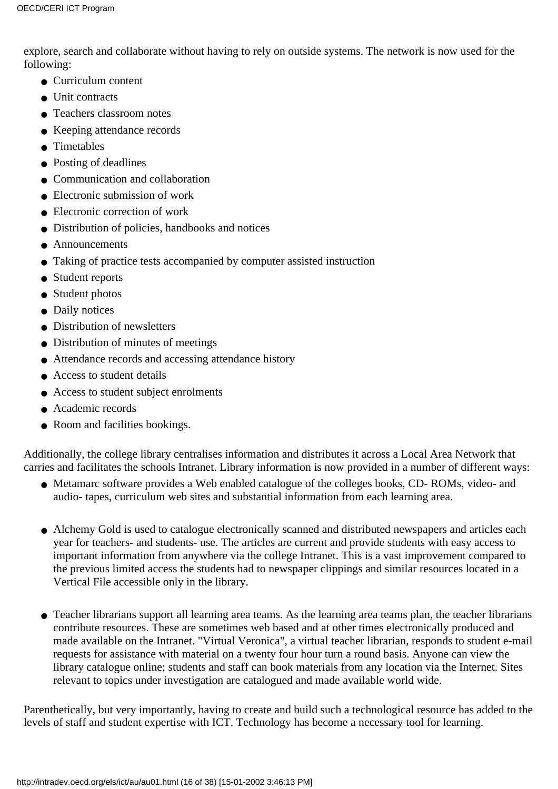explore, search and collaborate without having to rely on outside systems. The network is now used for the following:

- Curriculum content
- Unit contracts
- Teachers classroom notes
- Keeping attendance records
- Timetables
- Posting of deadlines
- Communication and collaboration
- $\bullet$  Electronic submission of work
- Electronic correction of work
- Distribution of policies, handbooks and notices
- Announcements
- Taking of practice tests accompanied by computer assisted instruction
- Student reports
- Student photos
- Daily notices
- Distribution of newsletters
- Distribution of minutes of meetings
- Attendance records and accessing attendance history
- Access to student details
- Access to student subject enrolments
- Academic records
- Room and facilities bookings.

Additionally, the college library centralises information and distributes it across a Local Area Network that carries and facilitates the school s Intranet. Library information is now provided in a number of different ways:

- Metamarc software provides a Web enabled catalogue of the college s books, CD-ROMs, video- and audio- tapes, curriculum web sites and substantial information from each learning area.
- Alchemy Gold is used to catalogue electronically scanned and distributed newspapers and articles each year for teachers- and students- use. The articles are current and provide students with easy access to important information from anywhere via the college Intranet. This is a vast improvement compared to the previous limited access the students had to newspaper clippings and similar resources located in a Vertical File accessible only in the library.
- Teacher librarians support all learning area teams. As the learning area teams plan, the teacher librarians contribute resources. These are sometimes web based and at other times electronically produced and made available on the Intranet. "Virtual Veronica", a virtual teacher librarian, responds to student e-mail requests for assistance with material on a twenty four hour turn a round basis. Anyone can view the library catalogue online; students and staff can book materials from any location via the Internet. Sites relevant to topics under investigation are catalogued and made available world wide.

Parenthetically, but very importantly, having to create and build such a technological resource has added to the levels of staff and student expertise with ICT. Technology has become a necessary tool for learning.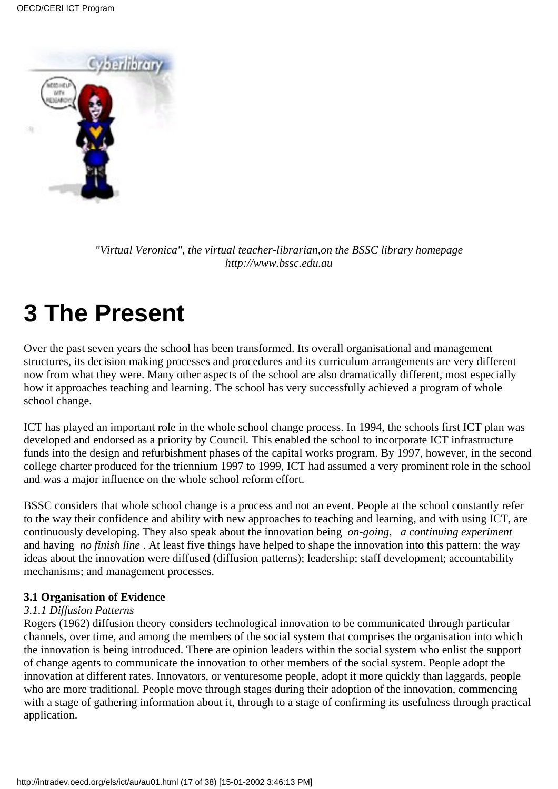

*"Virtual Veronica", the virtual teacher-librarian,on the BSSC library homepage http://www.bssc.edu.au*

# **3 The Present**

Over the past seven years the school has been transformed. Its overall organisational and management structures, its decision making processes and procedures and its curriculum arrangements are very different now from what they were. Many other aspects of the school are also dramatically different, most especially how it approaches teaching and learning. The school has very successfully achieved a program of whole school change.

ICT has played an important role in the whole school change process. In 1994, the school s first ICT plan was developed and endorsed as a priority by Council. This enabled the school to incorporate ICT infrastructure funds into the design and refurbishment phases of the capital works program. By 1997, however, in the second college charter produced for the triennium 1997 to 1999, ICT had assumed a very prominent role in the school and was a major influence on the whole school reform effort.

BSSC considers that whole school change is a process and not an event. People at the school constantly refer to the way their confidence and ability with new approaches to teaching and learning, and with using ICT, are continuously developing. They also speak about the innovation being *on-going*, *a continuing experiment* and having *no finish line*. At least five things have helped to shape the innovation into this pattern: the way ideas about the innovation were diffused (diffusion patterns); leadership; staff development; accountability mechanisms; and management processes.

#### **3.1 Organisation of Evidence**

#### *3.1.1 Diffusion Patterns*

Rogers (1962) diffusion theory considers technological innovation to be communicated through particular channels, over time, and among the members of the social system that comprises the organisation into which the innovation is being introduced. There are opinion leaders within the social system who enlist the support of change agents to communicate the innovation to other members of the social system. People adopt the innovation at different rates. Innovators, or venturesome people, adopt it more quickly than laggards, people who are more traditional. People move through stages during their adoption of the innovation, commencing with a stage of gathering information about it, through to a stage of confirming its usefulness through practical application.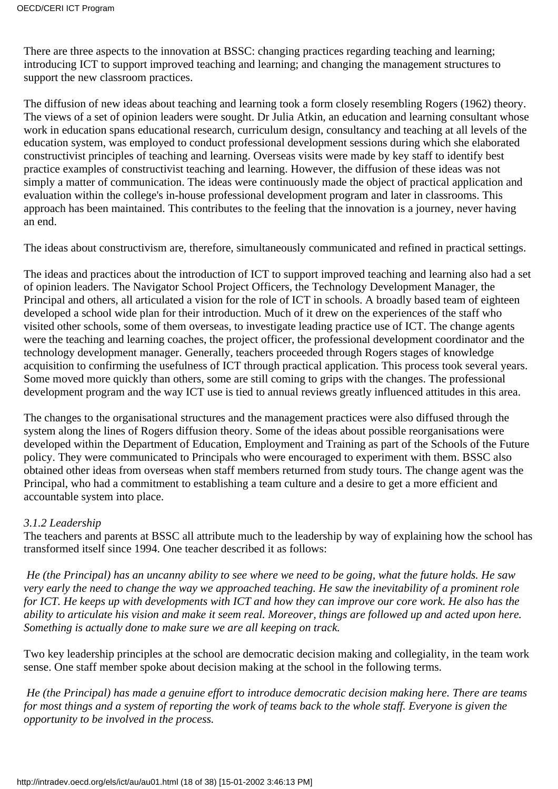There are three aspects to the innovation at BSSC: changing practices regarding teaching and learning; introducing ICT to support improved teaching and learning; and changing the management structures to support the new classroom practices.

The diffusion of new ideas about teaching and learning took a form closely resembling Rogers (1962) theory. The views of a set of opinion leaders were sought. Dr Julia Atkin, an education and learning consultant whose work in education spans educational research, curriculum design, consultancy and teaching at all levels of the education system, was employed to conduct professional development sessions during which she elaborated constructivist principles of teaching and learning. Overseas visits were made by key staff to identify best practice examples of constructivist teaching and learning. However, the diffusion of these ideas was not simply a matter of communication. The ideas were continuously made the object of practical application and evaluation within the college's in-house professional development program and later in classrooms. This approach has been maintained. This contributes to the feeling that the innovation is a journey, never having an end.

The ideas about constructivism are, therefore, simultaneously communicated and refined in practical settings.

The ideas and practices about the introduction of ICT to support improved teaching and learning also had a set of opinion leaders. The Navigator School Project Officers, the Technology Development Manager, the Principal and others, all articulated a vision for the role of ICT in schools. A broadly based team of eighteen developed a school wide plan for their introduction. Much of it drew on the experiences of the staff who visited other schools, some of them overseas, to investigate leading practice use of ICT. The change agents were the teaching and learning coaches, the project officer, the professional development coordinator and the technology development manager. Generally, teachers proceeded through Rogers stages of knowledge acquisition to confirming the usefulness of ICT through practical application. This process took several years. Some moved more quickly than others, some are still coming to grips with the changes. The professional development program and the way ICT use is tied to annual reviews greatly influenced attitudes in this area.

The changes to the organisational structures and the management practices were also diffused through the system along the lines of Roger s diffusion theory. Some of the ideas about possible reorganisations were developed within the Department of Education, Employment and Training as part of the Schools of the Future policy. They were communicated to Principals who were encouraged to experiment with them. BSSC also obtained other ideas from overseas when staff members returned from study tours. The change agent was the Principal, who had a commitment to establishing a team culture and a desire to get a more efficient and accountable system into place.

#### *3.1.2 Leadership*

The teachers and parents at BSSC all attribute much to the leadership by way of explaining how the school has transformed itself since 1994. One teacher described it as follows:

*He (the Principal) has an uncanny ability to see where we need to be going, what the future holds. He saw very early the need to change the way we approached teaching. He saw the inevitability of a prominent role for ICT. He keeps up with developments with ICT and how they can improve our core work. He also has the ability to articulate his vision and make it seem real. Moreover, things are followed up and acted upon here. Something is actually done to make sure we are all keeping on track.*

Two key leadership principles at the school are democratic decision making and collegiality, in the team work sense. One staff member spoke about decision making at the school in the following terms.

*He (the Principal) has made a genuine effort to introduce democratic decision making here. There are teams for most things and a system of reporting the work of teams back to the whole staff. Everyone is given the opportunity to be involved in the process.*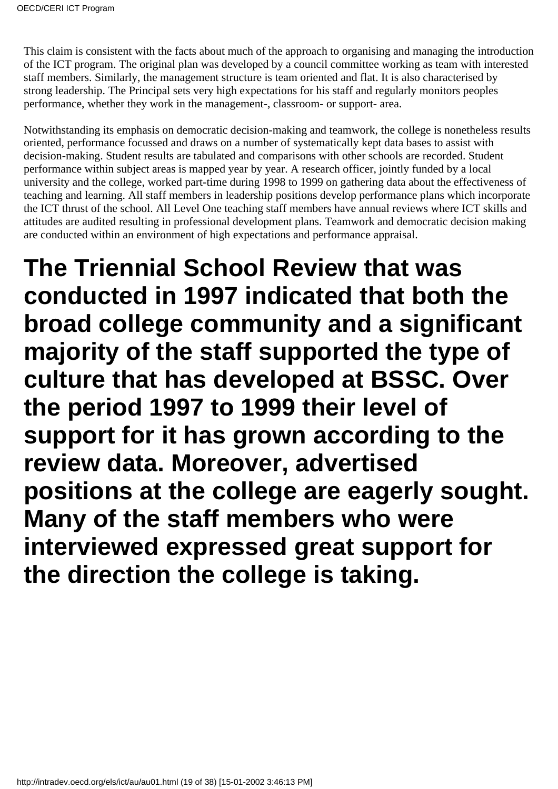This claim is consistent with the facts about much of the approach to organising and managing the introduction of the ICT program. The original plan was developed by a council committee working as team with interested staff members. Similarly, the management structure is team oriented and flat. It is also characterised by strong leadership. The Principal sets very high expectations for his staff and regularly monitors peoples performance, whether they work in the management-, classroom- or support- area.

Notwithstanding its emphasis on democratic decision-making and teamwork, the college is nonetheless results oriented, performance focussed and draws on a number of systematically kept data bases to assist with decision-making. Student results are tabulated and comparisons with other schools are recorded. Student performance within subject areas is mapped year by year. A research officer, jointly funded by a local university and the college, worked part-time during 1998 to 1999 on gathering data about the effectiveness of teaching and learning. All staff members in leadership positions develop performance plans which incorporate the ICT thrust of the school. All Level One teaching staff members have annual reviews where ICT skills and attitudes are audited resulting in professional development plans. Teamwork and democratic decision making are conducted within an environment of high expectations and performance appraisal.

**The Triennial School Review that was conducted in 1997 indicated that both the broad college community and a significant majority of the staff supported the type of culture that has developed at BSSC. Over the period 1997 to 1999 their level of support for it has grown according to the review data. Moreover, advertised positions at the college are eagerly sought. Many of the staff members who were interviewed expressed great support for the direction the college is taking.**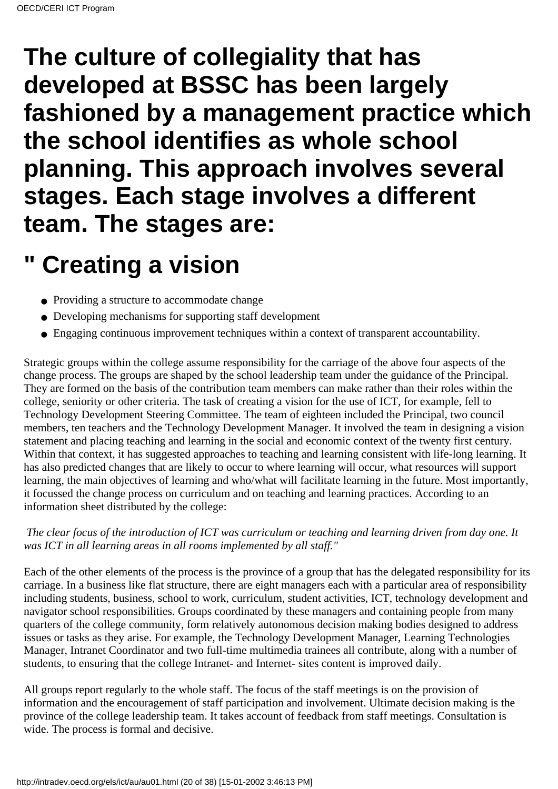# **The culture of collegiality that has developed at BSSC has been largely fashioned by a management practice which the school identifies as whole school planning. This approach involves several stages. Each stage involves a different team. The stages are:**

# **" Creating a vision**

- Providing a structure to accommodate change
- Developing mechanisms for supporting staff development
- Engaging continuous improvement techniques within a context of transparent accountability.

Strategic groups within the college assume responsibility for the carriage of the above four aspects of the change process. The groups are shaped by the school leadership team under the guidance of the Principal. They are formed on the basis of the contribution team members can make rather than their roles within the college, seniority or other criteria. The task of creating a vision for the use of ICT, for example, fell to Technology Development Steering Committee. The team of eighteen included the Principal, two council members, ten teachers and the Technology Development Manager. It involved the team in designing a vision statement and placing teaching and learning in the social and economic context of the twenty first century. Within that context, it has suggested approaches to teaching and learning consistent with life-long learning. It has also predicted changes that are likely to occur to where learning will occur, what resources will support learning, the main objectives of learning and who/what will facilitate learning in the future. Most importantly, it focussed the change process on curriculum and on teaching and learning practices. According to an information sheet distributed by the college:

#### *The clear focus of the introduction of ICT was curriculum or teaching and learning driven from day one. It was ICT in all learning areas in all rooms implemented by all staff."*

Each of the other elements of the process is the province of a group that has the delegated responsibility for its carriage. In a business like flat structure, there are eight managers each with a particular area of responsibility including students, business, school to work, curriculum, student activities, ICT, technology development and navigator school responsibilities. Groups coordinated by these managers and containing people from many quarters of the college community, form relatively autonomous decision making bodies designed to address issues or tasks as they arise. For example, the Technology Development Manager, Learning Technologies Manager, Intranet Coordinator and two full-time multimedia trainees all contribute, along with a number of students, to ensuring that the college Intranet- and Internet- sites content is improved daily.

All groups report regularly to the whole staff. The focus of the staff meetings is on the provision of information and the encouragement of staff participation and involvement. Ultimate decision making is the province of the college leadership team. It takes account of feedback from staff meetings. Consultation is wide. The process is formal and decisive.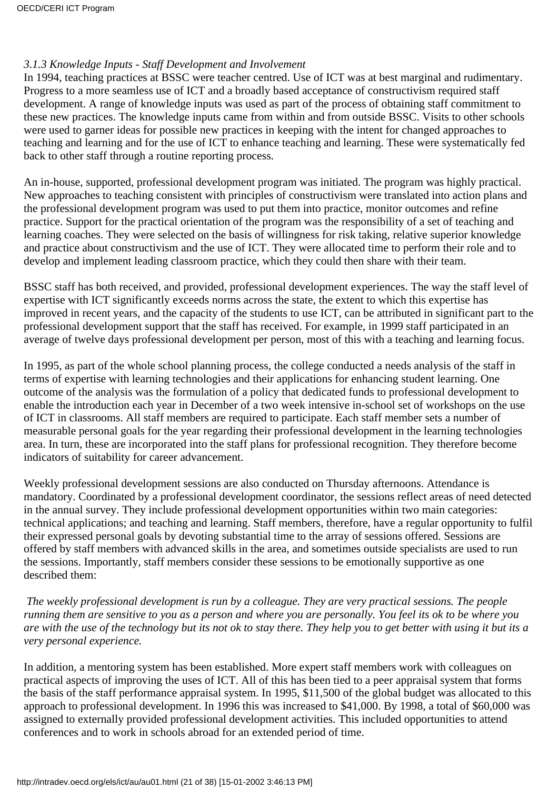#### *3.1.3 Knowledge Inputs - Staff Development and Involvement*

In 1994, teaching practices at BSSC were teacher centred. Use of ICT was at best marginal and rudimentary. Progress to a more seamless use of ICT and a broadly based acceptance of constructivism required staff development. A range of knowledge inputs was used as part of the process of obtaining staff commitment to these new practices. The knowledge inputs came from within and from outside BSSC. Visits to other schools were used to garner ideas for possible new practices in keeping with the intent for changed approaches to teaching and learning and for the use of ICT to enhance teaching and learning. These were systematically fed back to other staff through a routine reporting process.

An in-house, supported, professional development program was initiated. The program was highly practical. New approaches to teaching consistent with principles of constructivism were translated into action plans and the professional development program was used to put them into practice, monitor outcomes and refine practice. Support for the practical orientation of the program was the responsibility of a set of teaching and learning coaches. They were selected on the basis of willingness for risk taking, relative superior knowledge and practice about constructivism and the use of ICT. They were allocated time to perform their role and to develop and implement leading classroom practice, which they could then share with their team.

BSSC staff has both received, and provided, professional development experiences. The way the staff level of expertise with ICT significantly exceeds norms across the state, the extent to which this expertise has improved in recent years, and the capacity of the students to use ICT, can be attributed in significant part to the professional development support that the staff has received. For example, in 1999 staff participated in an average of twelve days professional development per person, most of this with a teaching and learning focus.

In 1995, as part of the whole school planning process, the college conducted a needs analysis of the staff in terms of expertise with learning technologies and their applications for enhancing student learning. One outcome of the analysis was the formulation of a policy that dedicated funds to professional development to enable the introduction each year in December of a two week intensive in-school set of workshops on the use of ICT in classrooms. All staff members are required to participate. Each staff member sets a number of measurable personal goals for the year regarding their professional development in the learning technologies area. In turn, these are incorporated into the staff plans for professional recognition. They therefore become indicators of suitability for career advancement.

Weekly professional development sessions are also conducted on Thursday afternoons. Attendance is mandatory. Coordinated by a professional development coordinator, the sessions reflect areas of need detected in the annual survey. They include professional development opportunities within two main categories: technical applications; and teaching and learning. Staff members, therefore, have a regular opportunity to fulfil their expressed personal goals by devoting substantial time to the array of sessions offered. Sessions are offered by staff members with advanced skills in the area, and sometimes outside specialists are used to run the sessions. Importantly, staff members consider these sessions to be emotionally supportive as one described them:

*The weekly professional development is run by a colleague. They are very practical sessions. The people running them are sensitive to you as a person and where you are personally. You feel its ok to be where you are with the use of the technology but its not ok to stay there. They help you to get better with using it but its a very personal experience.*

In addition, a mentoring system has been established. More expert staff members work with colleagues on practical aspects of improving the uses of ICT. All of this has been tied to a peer appraisal system that forms the basis of the staff performance appraisal system. In 1995, \$11,500 of the global budget was allocated to this approach to professional development. In 1996 this was increased to \$41,000. By 1998, a total of \$60,000 was assigned to externally provided professional development activities. This included opportunities to attend conferences and to work in schools abroad for an extended period of time.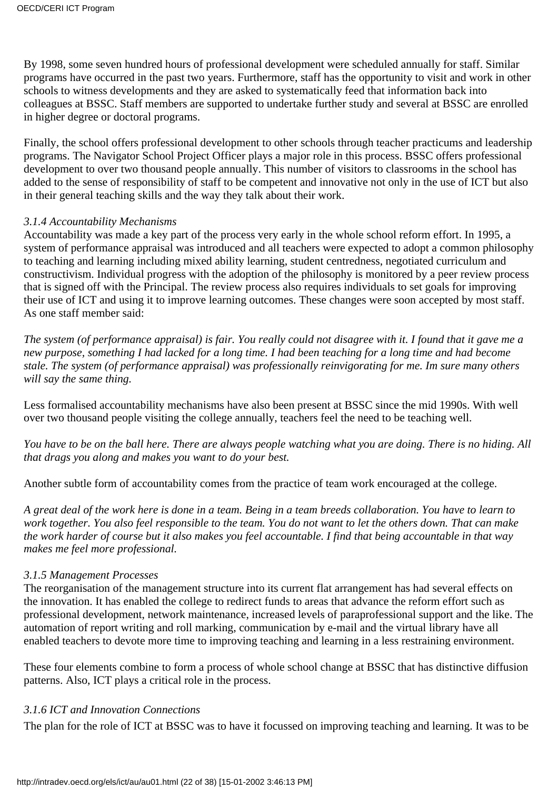By 1998, some seven hundred hours of professional development were scheduled annually for staff. Similar programs have occurred in the past two years. Furthermore, staff has the opportunity to visit and work in other schools to witness developments and they are asked to systematically feed that information back into colleagues at BSSC. Staff members are supported to undertake further study and several at BSSC are enrolled in higher degree or doctoral programs.

Finally, the school offers professional development to other schools through teacher practicums and leadership programs. The Navigator School Project Officer plays a major role in this process. BSSC offers professional development to over two thousand people annually. This number of visitors to classrooms in the school has added to the sense of responsibility of staff to be competent and innovative not only in the use of ICT but also in their general teaching skills and the way they talk about their work.

#### *3.1.4 Accountability Mechanisms*

Accountability was made a key part of the process very early in the whole school reform effort. In 1995, a system of performance appraisal was introduced and all teachers were expected to adopt a common philosophy to teaching and learning including mixed ability learning, student centredness, negotiated curriculum and constructivism. Individual progress with the adoption of the philosophy is monitored by a peer review process that is signed off with the Principal. The review process also requires individuals to set goals for improving their use of ICT and using it to improve learning outcomes. These changes were soon accepted by most staff. As one staff member said:

*The system (of performance appraisal) is fair. You really could not disagree with it. I found that it gave me a new purpose, something I had lacked for a long time. I had been teaching for a long time and had become stale. The system (of performance appraisal) was professionally reinvigorating for me. Im sure many others will say the same thing.*

Less formalised accountability mechanisms have also been present at BSSC since the mid 1990s. With well over two thousand people visiting the college annually, teachers feel the need to be teaching well.

*You have to be on the ball here. There are always people watching what you are doing. There is no hiding. All that drags you along and makes you want to do your best.*

Another subtle form of accountability comes from the practice of team work encouraged at the college.

*A great deal of the work here is done in a team. Being in a team breeds collaboration. You have to learn to work together. You also feel responsible to the team. You do not want to let the others down. That can make the work harder of course but it also makes you feel accountable. I find that being accountable in that way makes me feel more professional.*

#### *3.1.5 Management Processes*

The reorganisation of the management structure into its current flat arrangement has had several effects on the innovation. It has enabled the college to redirect funds to areas that advance the reform effort such as professional development, network maintenance, increased levels of paraprofessional support and the like. The automation of report writing and roll marking, communication by e-mail and the virtual library have all enabled teachers to devote more time to improving teaching and learning in a less restraining environment.

These four elements combine to form a process of whole school change at BSSC that has distinctive diffusion patterns. Also, ICT plays a critical role in the process.

#### *3.1.6 ICT and Innovation Connections*

The plan for the role of ICT at BSSC was to have it focussed on improving teaching and learning. It was to be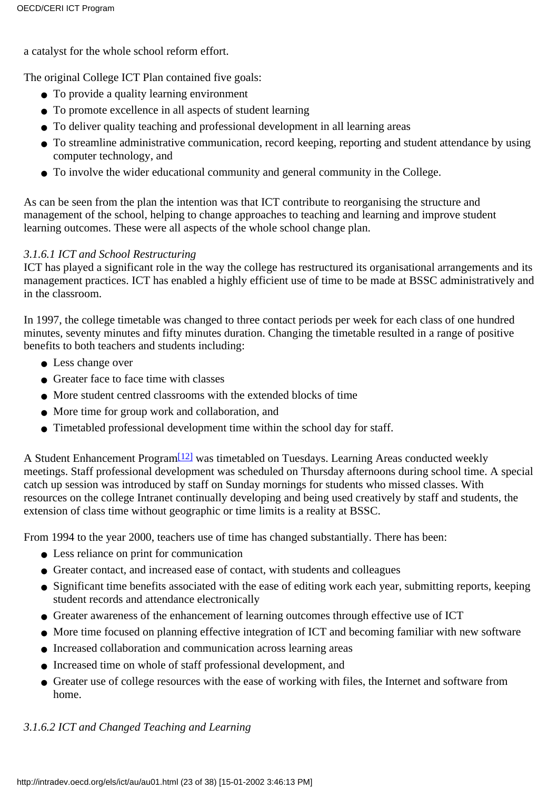a catalyst for the whole school reform effort.

The original College ICT Plan contained five goals:

- To provide a quality learning environment
- To promote excellence in all aspects of student learning
- To deliver quality teaching and professional development in all learning areas
- To streamline administrative communication, record keeping, reporting and student attendance by using computer technology, and
- To involve the wider educational community and general community in the College.

As can be seen from the plan the intention was that ICT contribute to reorganising the structure and management of the school, helping to change approaches to teaching and learning and improve student learning outcomes. These were all aspects of the whole school change plan.

#### *3.1.6.1 ICT and School Restructuring*

ICT has played a significant role in the way the college has restructured its organisational arrangements and its management practices. ICT has enabled a highly efficient use of time to be made at BSSC administratively and in the classroom.

In 1997, the college timetable was changed to three contact periods per week for each class of one hundred minutes, seventy minutes and fifty minutes duration. Changing the timetable resulted in a range of positive benefits to both teachers and students including:

- Less change over
- Greater face to face time with classes
- More student centred classrooms with the extended blocks of time
- More time for group work and collaboration, and
- Timetabled professional development time within the school day for staff.

<span id="page-22-0"></span>A Student Enhancement Program<sup>[12]</sup> was timetabled on Tuesdays. Learning Areas conducted weekly meetings. Staff professional development was scheduled on Thursday afternoons during school time. A special catch up session was introduced by staff on Sunday mornings for students who missed classes. With resources on the college Intranet continually developing and being used creatively by staff and students, the extension of class time without geographic or time limits is a reality at BSSC.

From 1994 to the year 2000, teachers use of time has changed substantially. There has been:

- Less reliance on print for communication
- Greater contact, and increased ease of contact, with students and colleagues
- Significant time benefits associated with the ease of editing work each year, submitting reports, keeping student records and attendance electronically
- Greater awareness of the enhancement of learning outcomes through effective use of ICT
- More time focused on planning effective integration of ICT and becoming familiar with new software
- Increased collaboration and communication across learning areas
- Increased time on whole of staff professional development, and
- Greater use of college resources with the ease of working with files, the Internet and software from home.

#### *3.1.6.2 ICT and Changed Teaching and Learning*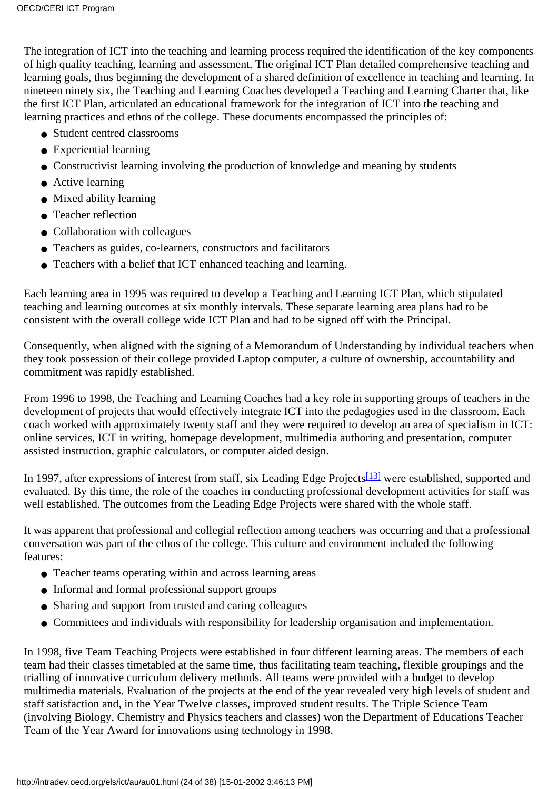The integration of ICT into the teaching and learning process required the identification of the key components of high quality teaching, learning and assessment. The original ICT Plan detailed comprehensive teaching and learning goals, thus beginning the development of a shared definition of excellence in teaching and learning. In nineteen ninety six, the Teaching and Learning Coaches developed a Teaching and Learning Charter that, like the first ICT Plan, articulated an educational framework for the integration of ICT into the teaching and learning practices and ethos of the college. These documents encompassed the principles of:

- Student centred classrooms
- Experiential learning
- Constructivist learning involving the production of knowledge and meaning by students
- Active learning
- Mixed ability learning
- Teacher reflection
- Collaboration with colleagues
- Teachers as guides, co-learners, constructors and facilitators
- Teachers with a belief that ICT enhanced teaching and learning.

Each learning area in 1995 was required to develop a Teaching and Learning ICT Plan, which stipulated teaching and learning outcomes at six monthly intervals. These separate learning area plans had to be consistent with the overall college wide ICT Plan and had to be signed off with the Principal.

Consequently, when aligned with the signing of a Memorandum of Understanding by individual teachers when they took possession of their college provided Laptop computer, a culture of ownership, accountability and commitment was rapidly established.

From 1996 to 1998, the Teaching and Learning Coaches had a key role in supporting groups of teachers in the development of projects that would effectively integrate ICT into the pedagogies used in the classroom. Each coach worked with approximately twenty staff and they were required to develop an area of specialism in ICT: online services, ICT in writing, homepage development, multimedia authoring and presentation, computer assisted instruction, graphic calculators, or computer aided design.

<span id="page-23-0"></span>In 1997, after expressions of interest from staff, six Leading Edge Projects<sup>[\[13\]](#page-37-11)</sup> were established, supported and evaluated. By this time, the role of the coaches in conducting professional development activities for staff was well established. The outcomes from the Leading Edge Projects were shared with the whole staff.

It was apparent that professional and collegial reflection among teachers was occurring and that a professional conversation was part of the ethos of the college. This culture and environment included the following features:

- Teacher teams operating within and across learning areas
- Informal and formal professional support groups
- Sharing and support from trusted and caring colleagues
- Committees and individuals with responsibility for leadership organisation and implementation.

In 1998, five Team Teaching Projects were established in four different learning areas. The members of each team had their classes timetabled at the same time, thus facilitating team teaching, flexible groupings and the trialling of innovative curriculum delivery methods. All teams were provided with a budget to develop multimedia materials. Evaluation of the projects at the end of the year revealed very high levels of student and staff satisfaction and, in the Year Twelve classes, improved student results. The Triple Science Team (involving Biology, Chemistry and Physics teachers and classes) won the Department of Educations Teacher Team of the Year Award for innovations using technology in 1998.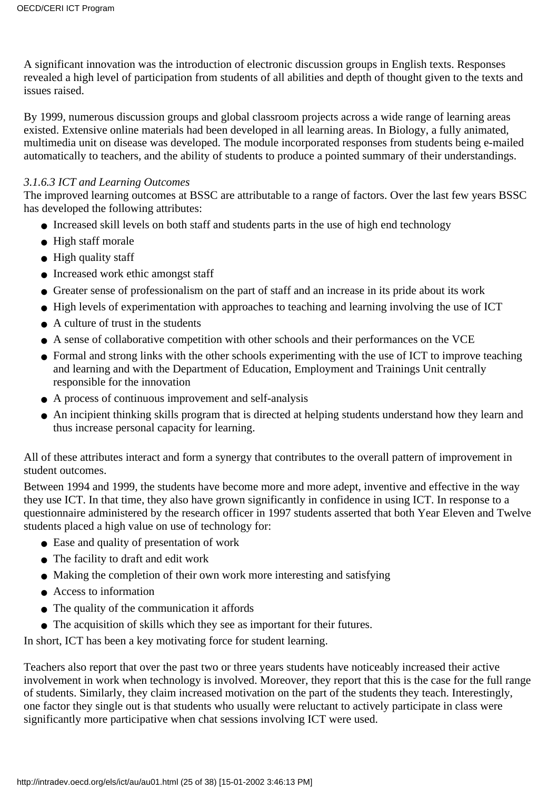A significant innovation was the introduction of electronic discussion groups in English texts. Responses revealed a high level of participation from students of all abilities and depth of thought given to the texts and issues raised.

By 1999, numerous discussion groups and global classroom projects across a wide range of learning areas existed. Extensive online materials had been developed in all learning areas. In Biology, a fully animated, multimedia unit on disease was developed. The module incorporated responses from students being e-mailed automatically to teachers, and the ability of students to produce a pointed summary of their understandings.

#### *3.1.6.3 ICT and Learning Outcomes*

The improved learning outcomes at BSSC are attributable to a range of factors. Over the last few years BSSC has developed the following attributes:

- Increased skill levels on both staff and students parts in the use of high end technology
- High staff morale
- High quality staff
- Increased work ethic amongst staff
- Greater sense of professionalism on the part of staff and an increase in its pride about its work
- High levels of experimentation with approaches to teaching and learning involving the use of ICT
- $\bullet$  A culture of trust in the students
- A sense of collaborative competition with other schools and their performances on the VCE
- Formal and strong links with the other schools experimenting with the use of ICT to improve teaching and learning and with the Department of Education, Employment and Trainings Unit centrally responsible for the innovation
- A process of continuous improvement and self-analysis
- An incipient thinking skills program that is directed at helping students understand how they learn and thus increase personal capacity for learning.

All of these attributes interact and form a synergy that contributes to the overall pattern of improvement in student outcomes.

Between 1994 and 1999, the students have become more and more adept, inventive and effective in the way they use ICT. In that time, they also have grown significantly in confidence in using ICT. In response to a questionnaire administered by the research officer in 1997 students asserted that both Year Eleven and Twelve students placed a high value on use of technology for:

- Ease and quality of presentation of work
- The facility to draft and edit work
- Making the completion of their own work more interesting and satisfying
- Access to information
- The quality of the communication it affords
- The acquisition of skills which they see as important for their futures.

In short, ICT has been a key motivating force for student learning.

Teachers also report that over the past two or three years students have noticeably increased their active involvement in work when technology is involved. Moreover, they report that this is the case for the full range of students. Similarly, they claim increased motivation on the part of the students they teach. Interestingly, one factor they single out is that students who usually were reluctant to actively participate in class were significantly more participative when chat sessions involving ICT were used.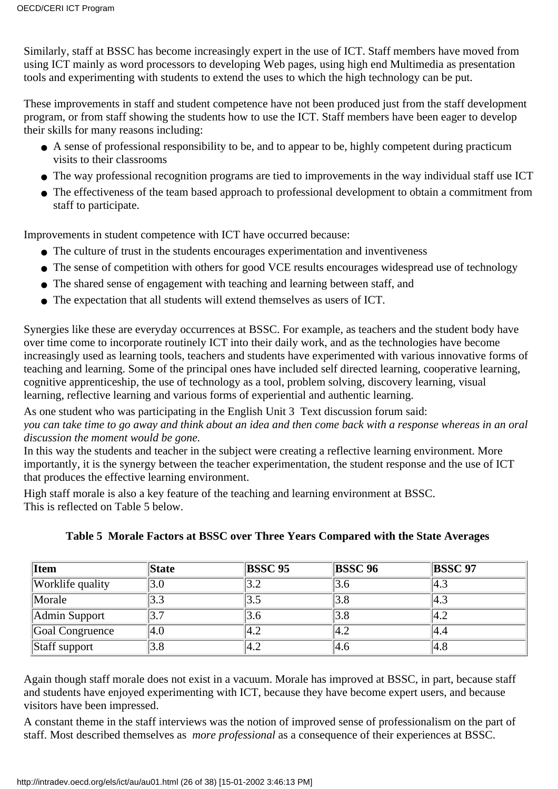Similarly, staff at BSSC has become increasingly expert in the use of ICT. Staff members have moved from using ICT mainly as word processors to developing Web pages, using high end Multimedia as presentation tools and experimenting with students to extend the uses to which the high technology can be put.

These improvements in staff and student competence have not been produced just from the staff development program, or from staff showing the students how to use the ICT. Staff members have been eager to develop their skills for many reasons including:

- A sense of professional responsibility to be, and to appear to be, highly competent during practicum visits to their classrooms
- The way professional recognition programs are tied to improvements in the way individual staff use ICT
- The effectiveness of the team based approach to professional development to obtain a commitment from staff to participate.

Improvements in student competence with ICT have occurred because:

- The culture of trust in the students encourages experimentation and inventiveness
- The sense of competition with others for good VCE results encourages widespread use of technology
- The shared sense of engagement with teaching and learning between staff, and
- The expectation that all students will extend themselves as users of ICT.

Synergies like these are everyday occurrences at BSSC. For example, as teachers and the student body have over time come to incorporate routinely ICT into their daily work, and as the technologies have become increasingly used as learning tools, teachers and students have experimented with various innovative forms of teaching and learning. Some of the principal ones have included self directed learning, cooperative learning, cognitive apprenticeship, the use of technology as a tool, problem solving, discovery learning, visual learning, reflective learning and various forms of experiential and authentic learning.

As one student who was participating in the English Unit 3 Text discussion forum said:

*you can take time to go away and think about an idea and then come back with a response whereas in an oral discussion the moment would be gone.*

In this way the students and teacher in the subject were creating a reflective learning environment. More importantly, it is the synergy between the teacher experimentation, the student response and the use of ICT that produces the effective learning environment.

High staff morale is also a key feature of the teaching and learning environment at BSSC. This is reflected on Table 5 below.

| <b>Item</b>          | <b>State</b> | <b>BSSC 95</b> | <b>BSSC 96</b> | <b>BSSC 97</b> |
|----------------------|--------------|----------------|----------------|----------------|
| Worklife quality     | 3.0          |                | 3.6            | 4.3            |
| Morale               | 3.3          |                | 3.8            | 4.3            |
| <b>Admin Support</b> | 3.7          | 3.6            | 3.8            | 4.2            |
| Goal Congruence      | $ 4.0\>$     | 4.2            | 4.2            | 4.4            |
| Staff support        | 3.8          | 4.2            | 4.6            | 4.8            |

#### **Table 5 Morale Factors at BSSC over Three Years Compared with the State Averages**

Again though staff morale does not exist in a vacuum. Morale has improved at BSSC, in part, because staff and students have enjoyed experimenting with ICT, because they have become expert users, and because visitors have been impressed.

A constant theme in the staff interviews was the notion of improved sense of professionalism on the part of staff. Most described themselves as *more professional* as a consequence of their experiences at BSSC.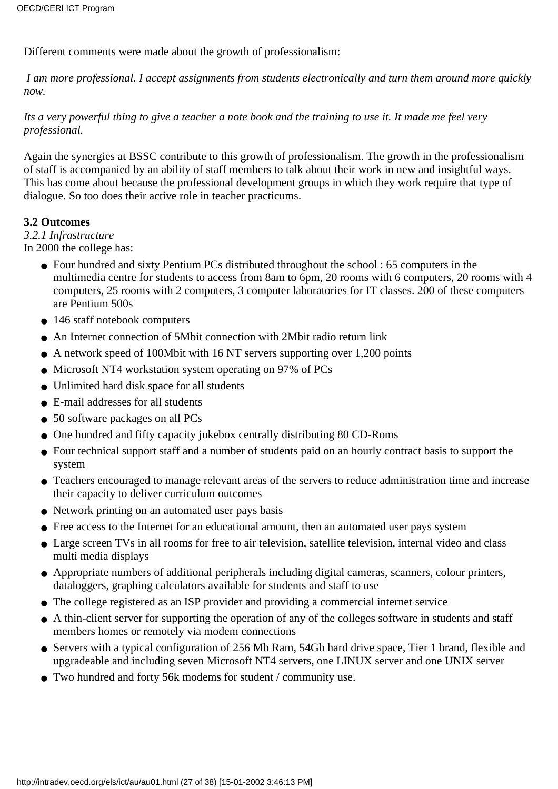Different comments were made about the growth of professionalism:

*I am more professional. I accept assignments from students electronically and turn them around more quickly now.*

*Its a very powerful thing to give a teacher a note book and the training to use it. It made me feel very professional.*

Again the synergies at BSSC contribute to this growth of professionalism. The growth in the professionalism of staff is accompanied by an ability of staff members to talk about their work in new and insightful ways. This has come about because the professional development groups in which they work require that type of dialogue. So too does their active role in teacher practicums.

#### **3.2 Outcomes**

#### *3.2.1 Infrastructure*

In 2000 the college has:

- Four hundred and sixty Pentium PC s distributed throughout the school : 65 computers in the multimedia centre for students to access from 8am to 6pm, 20 rooms with 6 computers, 20 rooms with 4 computers, 25 rooms with 2 computers, 3 computer laboratories for IT classes. 200 of these computers are Pentium 500s
- 146 staff notebook computers
- An Internet connection of 5Mbit connection with 2Mbit radio return link
- A network speed of 100Mbit with 16 NT servers supporting over 1,200 points
- Microsoft NT4 workstation system operating on 97% of PC s
- Unlimited hard disk space for all students
- E-mail addresses for all students
- 50 software packages on all PCs
- One hundred and fifty capacity jukebox centrally distributing 80 CD-Roms
- Four technical support staff and a number of students paid on an hourly contract basis to support the system
- Teachers encouraged to manage relevant areas of the servers to reduce administration time and increase their capacity to deliver curriculum outcomes
- Network printing on an automated user pays basis
- Free access to the Internet for an educational amount, then an automated user pays system
- Large screen TV s in all rooms for free to air television, satellite television, internal video and class multi media displays
- Appropriate numbers of additional peripherals including digital cameras, scanners, colour printers, dataloggers, graphing calculators available for students and staff to use
- The college registered as an ISP provider and providing a commercial internet service
- A thin-client server for supporting the operation of any of the college s software in students and staff members homes or remotely via modem connections
- Servers with a typical configuration of 256 Mb Ram, 54Gb hard drive space, Tier 1 brand, flexible and upgradeable and including seven Microsoft NT4 servers, one LINUX server and one UNIX server
- Two hundred and forty 56k modems for student / community use.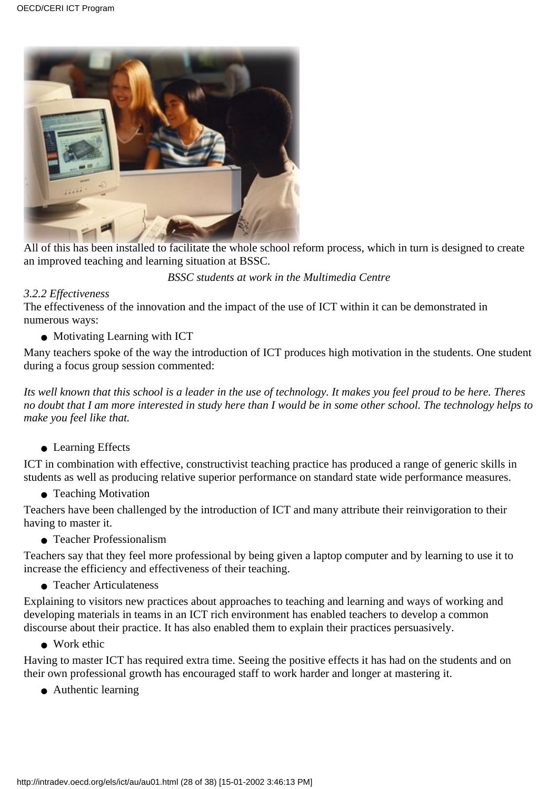

All of this has been installed to facilitate the whole school reform process, which in turn is designed to create an improved teaching and learning situation at BSSC.

*BSSC students at work in the Multimedia Centre*

#### *3.2.2 Effectiveness*

The effectiveness of the innovation and the impact of the use of ICT within it can be demonstrated in numerous ways:

• Motivating Learning with ICT

Many teachers spoke of the way the introduction of ICT produces high motivation in the students. One student during a focus group session commented:

*Its well known that this school is a leader in the use of technology. It makes you feel proud to be here. Theres no doubt that I am more interested in study here than I would be in some other school. The technology helps to make you feel like that.*

● Learning Effects

ICT in combination with effective, constructivist teaching practice has produced a range of generic skills in students as well as producing relative superior performance on standard state wide performance measures.

• Teaching Motivation

Teachers have been challenged by the introduction of ICT and many attribute their reinvigoration to their having to master it.

• Teacher Professionalism

Teachers say that they feel more professional by being given a laptop computer and by learning to use it to increase the efficiency and effectiveness of their teaching.

● Teacher Articulateness

Explaining to visitors new practices about approaches to teaching and learning and ways of working and developing materials in teams in an ICT rich environment has enabled teachers to develop a common discourse about their practice. It has also enabled them to explain their practices persuasively.

● Work ethic

Having to master ICT has required extra time. Seeing the positive effects it has had on the students and on their own professional growth has encouraged staff to work harder and longer at mastering it.

● Authentic learning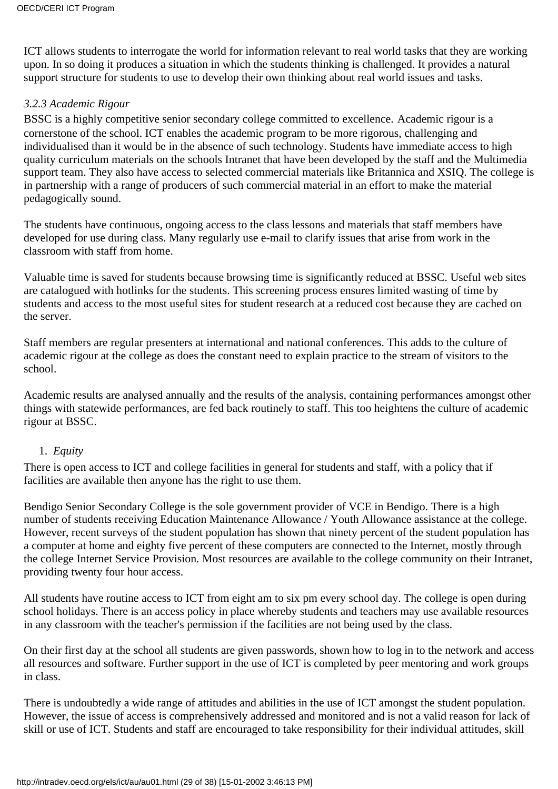ICT allows students to interrogate the world for information relevant to real world tasks that they are working upon. In so doing it produces a situation in which the students thinking is challenged. It provides a natural support structure for students to use to develop their own thinking about real world issues and tasks.

#### *3.2.3 Academic Rigour*

BSSC is a highly competitive senior secondary college committed to excellence. Academic rigour is a cornerstone of the school. ICT enables the academic program to be more rigorous, challenging and individualised than it would be in the absence of such technology. Students have immediate access to high quality curriculum materials on the school s Intranet that have been developed by the staff and the Multimedia support team. They also have access to selected commercial materials like Britannica and XSIQ. The college is in partnership with a range of producers of such commercial material in an effort to make the material pedagogically sound.

The students have continuous, ongoing access to the class lessons and materials that staff members have developed for use during class. Many regularly use e-mail to clarify issues that arise from work in the classroom with staff from home.

Valuable time is saved for students because browsing time is significantly reduced at BSSC. Useful web sites are catalogued with hotlinks for the students. This screening process ensures limited wasting of time by students and access to the most useful sites for student research at a reduced cost because they are cached on the server.

Staff members are regular presenters at international and national conferences. This adds to the culture of academic rigour at the college as does the constant need to explain practice to the stream of visitors to the school.

Academic results are analysed annually and the results of the analysis, containing performances amongst other things with statewide performances, are fed back routinely to staff. This too heightens the culture of academic rigour at BSSC.

#### 1. *Equity*

There is open access to ICT and college facilities in general for students and staff, with a policy that if facilities are available then anyone has the right to use them.

Bendigo Senior Secondary College is the sole government provider of VCE in Bendigo. There is a high number of students receiving Education Maintenance Allowance / Youth Allowance assistance at the college. However, recent surveys of the student population has shown that ninety percent of the student population has a computer at home and eighty five percent of these computers are connected to the Internet, mostly through the college Internet Service Provision. Most resources are available to the college community on their Intranet, providing twenty four hour access.

All students have routine access to ICT from eight am to six pm every school day. The college is open during school holidays. There is an access policy in place whereby students and teachers may use available resources in any classroom with the teacher's permission if the facilities are not being used by the class.

On their first day at the school all students are given passwords, shown how to log in to the network and access all resources and software. Further support in the use of ICT is completed by peer mentoring and work groups in class.

There is undoubtedly a wide range of attitudes and abilities in the use of ICT amongst the student population. However, the issue of access is comprehensively addressed and monitored and is not a valid reason for lack of skill or use of ICT. Students and staff are encouraged to take responsibility for their individual attitudes, skill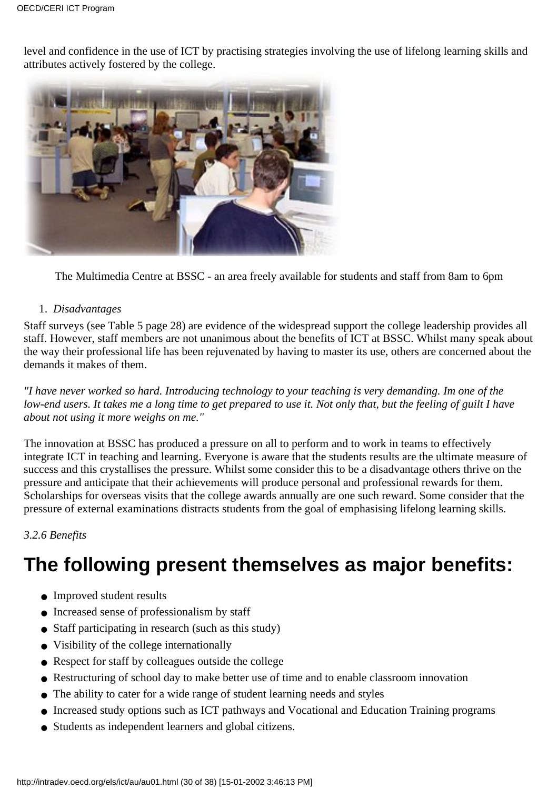level and confidence in the use of ICT by practising strategies involving the use of lifelong learning skills and attributes actively fostered by the college.



The Multimedia Centre at BSSC - an area freely available for students and staff from 8am to 6pm

#### 1. *Disadvantages*

Staff surveys (see Table 5 page 28) are evidence of the widespread support the college leadership provides all staff. However, staff members are not unanimous about the benefits of ICT at BSSC. Whilst many speak about the way their professional life has been rejuvenated by having to master its use, others are concerned about the demands it makes of them.

*"I have never worked so hard. Introducing technology to your teaching is very demanding. Im one of the low-end users. It takes me a long time to get prepared to use it. Not only that, but the feeling of guilt I have about not using it more weighs on me."*

The innovation at BSSC has produced a pressure on all to perform and to work in teams to effectively integrate ICT in teaching and learning. Everyone is aware that the students results are the ultimate measure of success and this crystallises the pressure. Whilst some consider this to be a disadvantage others thrive on the pressure and anticipate that their achievements will produce personal and professional rewards for them. Scholarships for overseas visits that the college awards annually are one such reward. Some consider that the pressure of external examinations distracts students from the goal of emphasising lifelong learning skills.

#### *3.2.6 Benefits*

## **The following present themselves as major benefits:**

- Improved student results
- Increased sense of professionalism by staff
- Staff participating in research (such as this study)
- Visibility of the college internationally
- Respect for staff by colleagues outside the college
- Restructuring of school day to make better use of time and to enable classroom innovation
- The ability to cater for a wide range of student learning needs and styles
- Increased study options such as ICT pathways and Vocational and Education Training programs
- Students as independent learners and global citizens.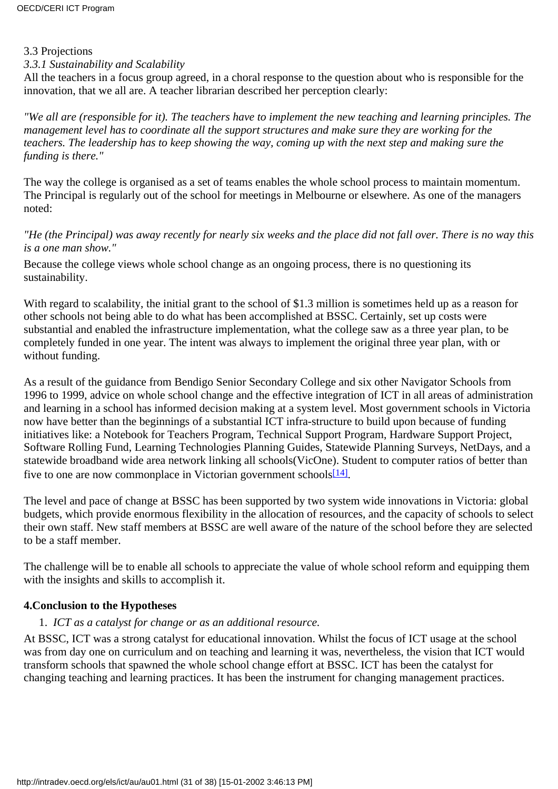#### 3.3 Projections

#### *3.3.1 Sustainability and Scalability*

All the teachers in a focus group agreed, in a choral response to the question about who is responsible for the innovation, that we all are. A teacher librarian described her perception clearly:

*"We all are (responsible for it). The teachers have to implement the new teaching and learning principles. The management level has to coordinate all the support structures and make sure they are working for the teachers. The leadership has to keep showing the way, coming up with the next step and making sure the funding is there."*

The way the college is organised as a set of teams enables the whole school process to maintain momentum. The Principal is regularly out of the school for meetings in Melbourne or elsewhere. As one of the managers noted:

#### *"He (the Principal) was away recently for nearly six weeks and the place did not fall over. There is no way this is a one man show."*

Because the college views whole school change as an ongoing process, there is no questioning its sustainability.

With regard to scalability, the initial grant to the school of \$1.3 million is sometimes held up as a reason for other schools not being able to do what has been accomplished at BSSC. Certainly, set up costs were substantial and enabled the infrastructure implementation, what the college saw as a three year plan, to be completely funded in one year. The intent was always to implement the original three year plan, with or without funding.

As a result of the guidance from Bendigo Senior Secondary College and six other Navigator Schools from 1996 to 1999, advice on whole school change and the effective integration of ICT in all areas of administration and learning in a school has informed decision making at a system level. Most government schools in Victoria now have better than the beginnings of a substantial ICT infra-structure to build upon because of funding initiatives like: a Notebook for Teachers Program, Technical Support Program, Hardware Support Project, Software Rolling Fund, Learning Technologies Planning Guides, Statewide Planning Surveys, NetDays, and a statewide broadband wide area network linking all schools(VicOne). Student to computer ratios of better than five to one are now commonplace in Victorian government schools $[14]$ .

<span id="page-30-0"></span>The level and pace of change at BSSC has been supported by two system wide innovations in Victoria: global budgets, which provide enormous flexibility in the allocation of resources, and the capacity of schools to select their own staff. New staff members at BSSC are well aware of the nature of the school before they are selected to be a staff member.

The challenge will be to enable all schools to appreciate the value of whole school reform and equipping them with the insights and skills to accomplish it.

#### **4.Conclusion to the Hypotheses**

#### 1. *ICT as a catalyst for change or as an additional resource.*

At BSSC, ICT was a strong catalyst for educational innovation. Whilst the focus of ICT usage at the school was from day one on curriculum and on teaching and learning it was, nevertheless, the vision that ICT would transform schools that spawned the whole school change effort at BSSC. ICT has been the catalyst for changing teaching and learning practices. It has been the instrument for changing management practices.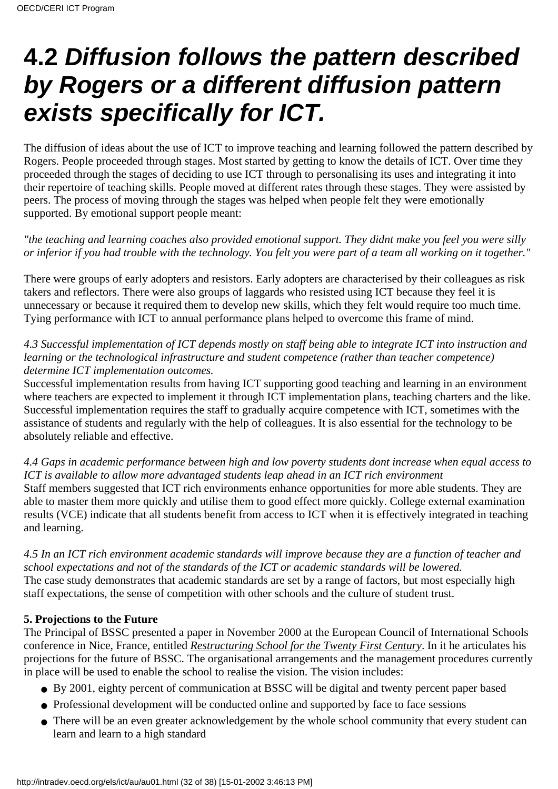# **4.2 Diffusion follows the pattern described by Rogers or a different diffusion pattern exists specifically for ICT.**

The diffusion of ideas about the use of ICT to improve teaching and learning followed the pattern described by Rogers. People proceeded through stages. Most started by getting to know the details of ICT. Over time they proceeded through the stages of deciding to use ICT through to personalising its uses and integrating it into their repertoire of teaching skills. People moved at different rates through these stages. They were assisted by peers. The process of moving through the stages was helped when people felt they were emotionally supported. By emotional support people meant:

*"the teaching and learning coaches also provided emotional support. They didnt make you feel you were silly or inferior if you had trouble with the technology. You felt you were part of a team all working on it together."*

There were groups of early adopters and resistors. Early adopters are characterised by their colleagues as risk takers and reflectors. There were also groups of laggards who resisted using ICT because they feel it is unnecessary or because it required them to develop new skills, which they felt would require too much time. Tying performance with ICT to annual performance plans helped to overcome this frame of mind.

*4.3 Successful implementation of ICT depends mostly on staff being able to integrate ICT into instruction and learning or the technological infrastructure and student competence (rather than teacher competence) determine ICT implementation outcomes.*

Successful implementation results from having ICT supporting good teaching and learning in an environment where teachers are expected to implement it through ICT implementation plans, teaching charters and the like. Successful implementation requires the staff to gradually acquire competence with ICT, sometimes with the assistance of students and regularly with the help of colleagues. It is also essential for the technology to be absolutely reliable and effective.

*4.4 Gaps in academic performance between high and low poverty students dont increase when equal access to ICT is available to allow more advantaged students leap ahead in an ICT rich environment* Staff members suggested that ICT rich environments enhance opportunities for more able students. They are able to master them more quickly and utilise them to good effect more quickly. College external examination results (VCE) indicate that all students benefit from access to ICT when it is effectively integrated in teaching and learning.

*4.5 In an ICT rich environment academic standards will improve because they are a function of teacher and school expectations and not of the standards of the ICT or academic standards will be lowered.* The case study demonstrates that academic standards are set by a range of factors, but most especially high staff expectations, the sense of competition with other schools and the culture of student trust.

#### **5. Projections to the Future**

The Principal of BSSC presented a paper in November 2000 at the European Council of International Schools conference in Nice, France, entitled *Restructuring School for the Twenty First Century*. In it he articulates his projections for the future of BSSC. The organisational arrangements and the management procedures currently in place will be used to enable the school to realise the vision. The vision includes:

- By 2001, eighty percent of communication at BSSC will be digital and twenty percent paper based
- Professional development will be conducted online and supported by face to face sessions
- There will be an even greater acknowledgement by the whole school community that every student can learn and learn to a high standard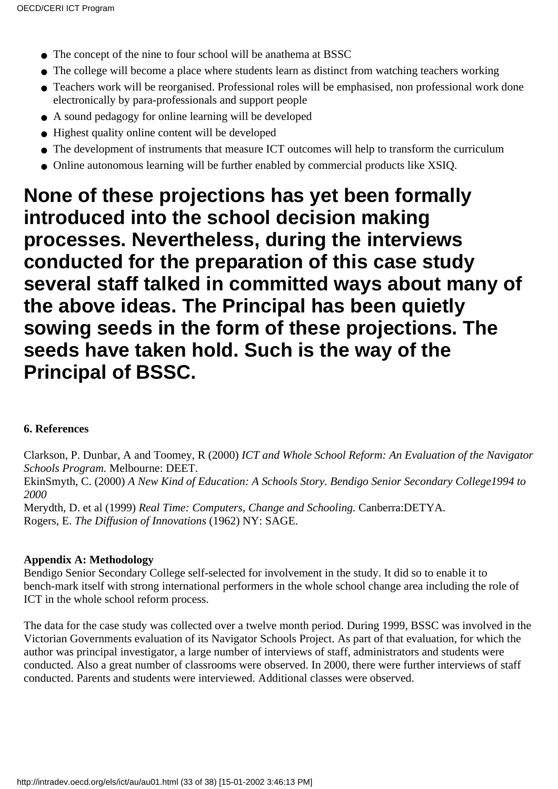- The concept of the nine to four school will be anathema at BSSC
- The college will become a place where students learn as distinct from watching teachers working
- Teachers work will be reorganised. Professional roles will be emphasised, non professional work done electronically by para-professionals and support people
- A sound pedagogy for online learning will be developed
- Highest quality online content will be developed
- The development of instruments that measure ICT outcomes will help to transform the curriculum
- Online autonomous learning will be further enabled by commercial products like XSIQ.

### **None of these projections has yet been formally introduced into the school decision making processes. Nevertheless, during the interviews conducted for the preparation of this case study several staff talked in committed ways about many of the above ideas. The Principal has been quietly sowing seeds in the form of these projections. The seeds have taken hold. Such is the way of the Principal of BSSC.**

#### **6. References**

Clarkson, P. Dunbar, A and Toomey, R (2000) *ICT and Whole School Reform: An Evaluation of the Navigator Schools Program.* Melbourne: DEET. EkinSmyth, C. (2000) *A New Kind of Education: A Schools Story. Bendigo Senior Secondary College1994 to 2000*

Merydth, D. et al (1999) *Real Time: Computers, Change and Schooling.* Canberra:DETYA. Rogers, E. *The Diffusion of Innovations* (1962) NY: SAGE.

#### **Appendix A: Methodology**

Bendigo Senior Secondary College self-selected for involvement in the study. It did so to enable it to bench-mark itself with strong international performers in the whole school change area including the role of ICT in the whole school reform process.

The data for the case study was collected over a twelve month period. During 1999, BSSC was involved in the Victorian Government s evaluation of its Navigator Schools Project. As part of that evaluation, for which the author was principal investigator, a large number of interviews of staff, administrators and students were conducted. Also a great number of classrooms were observed. In 2000, there were further interviews of staff conducted. Parents and students were interviewed. Additional classes were observed.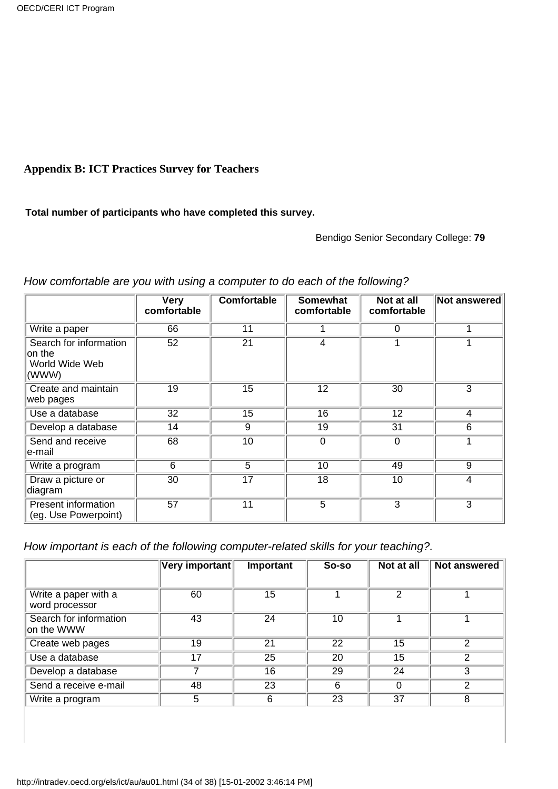#### **Appendix B: ICT Practices Survey for Teachers**

#### **Total number of participants who have completed this survey.**

Bendigo Senior Secondary College: **79**

|                                                             | <b>Very</b><br>comfortable | <b>Comfortable</b> | <b>Somewhat</b><br>comfortable | Not at all<br>comfortable | Not answered   |
|-------------------------------------------------------------|----------------------------|--------------------|--------------------------------|---------------------------|----------------|
| Write a paper                                               | 66                         | 11                 |                                | 0                         |                |
| Search for information<br>on the<br>World Wide Web<br>(WWW) | 52                         | 21                 | 4                              | 1                         |                |
| Create and maintain<br>web pages                            | $\overline{19}$            | $\overline{15}$    | $\overline{12}$                | 30                        | 3              |
| Use a database                                              | $\overline{32}$            | $\overline{15}$    | 16                             | 12                        | 4              |
| Develop a database                                          | 14                         | 9                  | 19                             | 31                        | 6              |
| Send and receive<br>∣e-mail                                 | 68                         | 10                 | $\mathbf 0$                    | $\mathbf 0$               |                |
| Write a program                                             | 6                          | 5                  | 10                             | 49                        | 9              |
| Draw a picture or<br>diagram                                | 30                         | 17                 | 18                             | 10                        | 4              |
| <b>Present information</b><br>(eg. Use Powerpoint)          | 57                         | 11                 | $\overline{5}$                 | $\overline{3}$            | $\overline{3}$ |

#### *How comfortable are you with using a computer to do each of the following?*

*How important is each of the following computer-related skills for your teaching?.*

|                                        | Very important | Important | So-so | Not at all | <b>Not answered</b> |
|----------------------------------------|----------------|-----------|-------|------------|---------------------|
|                                        |                |           |       |            |                     |
| Write a paper with a<br>word processor | 60             | 15        |       | 2          |                     |
| Search for information<br>on the WWW   | 43             | 24        | 10    |            |                     |
| Create web pages                       | 19             | 21        | 22    | 15         | 2                   |
| Use a database                         | 17             | 25        | 20    | 15         |                     |
| Develop a database                     |                | 16        | 29    | 24         | 3                   |
| Send a receive e-mail                  | 48             | 23        | 6     | 0          | ◠                   |
| Write a program                        | 5              | 6         | 23    | 37         | 8                   |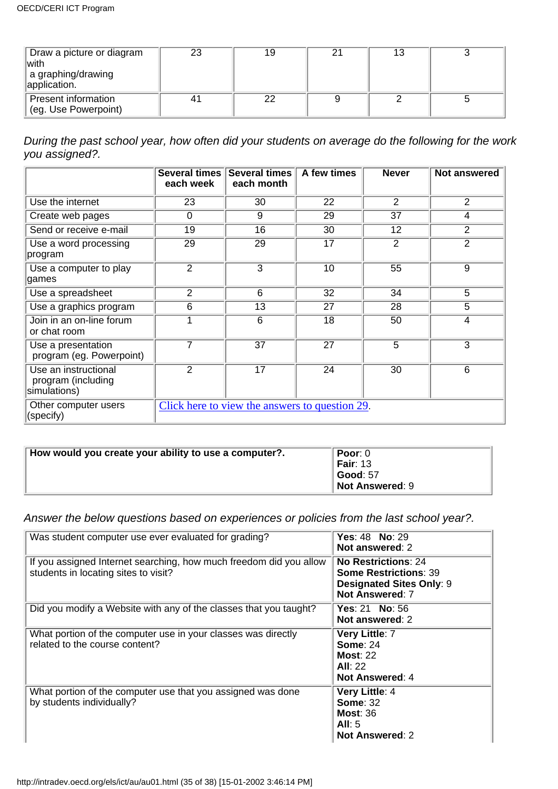| Draw a picture or diagram<br>lwith<br>a graphing/drawing<br>application. | 23  | 19 | C. | 13 |  |
|--------------------------------------------------------------------------|-----|----|----|----|--|
| Present information<br>(eg. Use Powerpoint)                              | -4. | 22 |    |    |  |

*During the past school year, how often did your students on average do the following for the work you assigned?.*

|                                                            | <b>Several times</b><br>each week | <b>Several times</b><br>each month             | A few times     | <b>Never</b>   | Not answered   |
|------------------------------------------------------------|-----------------------------------|------------------------------------------------|-----------------|----------------|----------------|
| Use the internet                                           | 23                                | 30                                             | 22              | $\overline{2}$ | $\overline{2}$ |
| Create web pages                                           | 0                                 | 9                                              | 29              | 37             | 4              |
| Send or receive e-mail                                     | 19                                | 16                                             | 30              | 12             | 2              |
| Use a word processing<br>program                           | $\overline{29}$                   | 29                                             | 17              | $\overline{2}$ | $\overline{2}$ |
| Use a computer to play<br>games                            | $\overline{2}$                    | $\overline{3}$                                 | 10              | 55             | $\overline{9}$ |
| Use a spreadsheet                                          | 2                                 | 6                                              | 32              | 34             | 5              |
| Use a graphics program                                     | 6                                 | 13                                             | 27              | 28             | 5              |
| Join in an on-line forum<br>or chat room                   |                                   | $\overline{6}$                                 | $\overline{18}$ | 50             | 4              |
| Use a presentation<br>program (eg. Powerpoint)             | 7                                 | $\overline{37}$                                | $\overline{27}$ | $\overline{5}$ | $\overline{3}$ |
| Use an instructional<br>program (including<br>simulations) | $\overline{2}$                    | $\overline{17}$                                | 24              | 30             | 6              |
| Other computer users<br>(specify)                          |                                   | Click here to view the answers to question 29. |                 |                |                |

| How would you create your ability to use a computer?. | Poor: $0$       |
|-------------------------------------------------------|-----------------|
|                                                       | <b>Fair: 13</b> |
|                                                       | Good: 57        |
|                                                       | Not Answered: 9 |

*Answer the below questions based on experiences or policies from the last school year?.*

| Was student computer use ever evaluated for grading?                                                       | <b>Yes: 48 No: 29</b><br>Not answered: 2                                                                         |
|------------------------------------------------------------------------------------------------------------|------------------------------------------------------------------------------------------------------------------|
| If you assigned Internet searching, how much freedom did you allow<br>students in locating sites to visit? | No Restrictions: 24<br><b>Some Restrictions: 39</b><br><b>Designated Sites Only: 9</b><br><b>Not Answered: 7</b> |
| Did you modify a Website with any of the classes that you taught?                                          | Yes: $21$ No: $56$<br>Not answered: 2                                                                            |
| What portion of the computer use in your classes was directly<br>related to the course content?            | Very Little: 7<br><b>Some: 24</b><br>Most: $22$<br>All: 22<br><b>Not Answered: 4</b>                             |
| What portion of the computer use that you assigned was done<br>by students individually?                   | Very Little: 4<br><b>Some: 32</b><br>Most: 36<br>All: $5$<br><b>Not Answered: 2</b>                              |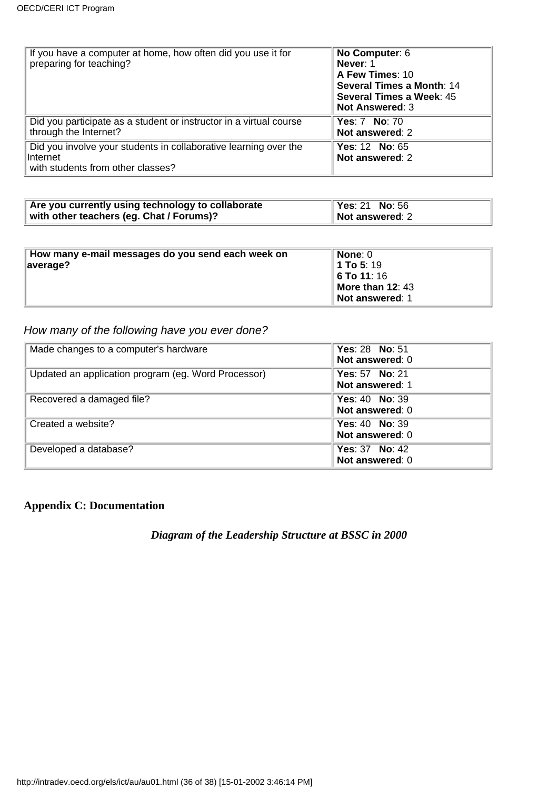| If you have a computer at home, how often did you use it for<br>preparing for teaching?                            | No Computer: 6<br>Never: 1<br>A Few Times: 10<br>Several Times a Month: 14<br>Several Times a Week: 45<br><b>Not Answered: 3</b> |
|--------------------------------------------------------------------------------------------------------------------|----------------------------------------------------------------------------------------------------------------------------------|
| Did you participate as a student or instructor in a virtual course<br>through the Internet?                        | <b>Yes: 7 No: 70</b><br>Not answered: 2                                                                                          |
| Did you involve your students in collaborative learning over the<br>lInternet<br>with students from other classes? | Yes: 12 No: 65<br>Not answered: 2                                                                                                |

| Are you currently using technology to collaborate | <b>Yes: 21 No: 56</b> |
|---------------------------------------------------|-----------------------|
| with other teachers (eg. Chat / Forums)?          | Not answered: 2       |

| How many e-mail messages do you send each week on | None: 0            |
|---------------------------------------------------|--------------------|
| $\parallel$ average?                              | <b>1 To 5</b> : 19 |
|                                                   | <b>O</b> To 11: 16 |
|                                                   | More than 12: 43   |
|                                                   | Not answered: 1    |

### *How many of the following have you ever done?*

| Made changes to a computer's hardware               | <b>Yes: 28 No: 51</b><br>Not answered: 0 |
|-----------------------------------------------------|------------------------------------------|
| Updated an application program (eg. Word Processor) | Yes: 57 No: 21<br>Not answered: 1        |
| Recovered a damaged file?                           | Yes: $40$ No: 39<br>Not answered: 0      |
| Created a website?                                  | Yes: $40$ No: $39$<br>Not answered: 0    |
| Developed a database?                               | Yes: $37$ No: $42$<br>Not answered: 0    |

#### **Appendix C: Documentation**

*Diagram of the Leadership Structure at BSSC in 2000*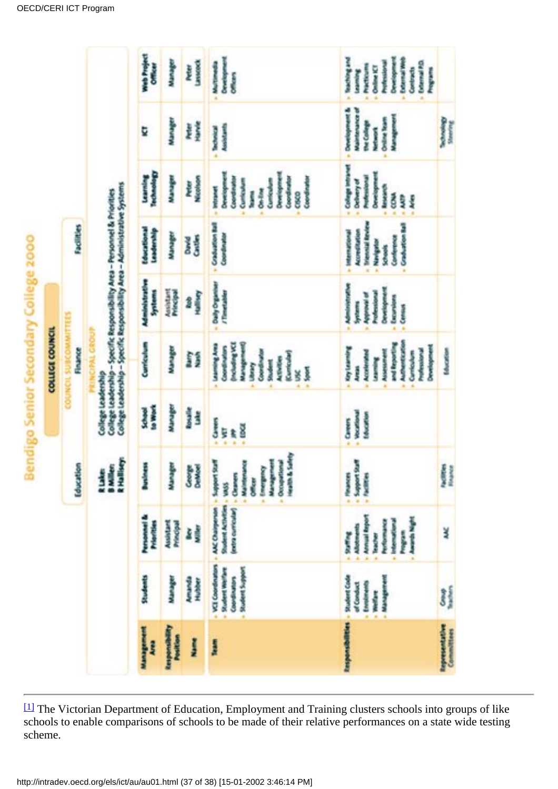|                                          |                                                                                    |                                                                                                                                                                                                                          |                                                                                                                                                 |                                                                 | Bendigo Senior Secondary College 2000<br>COLLEGE COUNCIL                                                                                                                                                  |                                                                                                                                                                              |                                                                                                                                                    |                                                                                                                                                                                                             |                                                                                                                                         |                                                                                                                                                                                                                              |
|------------------------------------------|------------------------------------------------------------------------------------|--------------------------------------------------------------------------------------------------------------------------------------------------------------------------------------------------------------------------|-------------------------------------------------------------------------------------------------------------------------------------------------|-----------------------------------------------------------------|-----------------------------------------------------------------------------------------------------------------------------------------------------------------------------------------------------------|------------------------------------------------------------------------------------------------------------------------------------------------------------------------------|----------------------------------------------------------------------------------------------------------------------------------------------------|-------------------------------------------------------------------------------------------------------------------------------------------------------------------------------------------------------------|-----------------------------------------------------------------------------------------------------------------------------------------|------------------------------------------------------------------------------------------------------------------------------------------------------------------------------------------------------------------------------|
|                                          |                                                                                    |                                                                                                                                                                                                                          | <b>Idealen</b>                                                                                                                                  |                                                                 | Floaner<br>3<br>COUNCIL                                                                                                                                                                                   | FIEL                                                                                                                                                                         | <b>Facilities</b>                                                                                                                                  |                                                                                                                                                                                                             |                                                                                                                                         |                                                                                                                                                                                                                              |
|                                          |                                                                                    |                                                                                                                                                                                                                          | <b>R</b> Halliery<br><b>BARNE</b><br>R Laker                                                                                                    | <b>College Leadership</b>                                       | College Leadership - Specific Responsibility Area - Administrative Systems<br>College Leadership - Specific Responsibility Area - Personnel & Priorities<br><b>MIL GROUP</b>                              |                                                                                                                                                                              |                                                                                                                                                    |                                                                                                                                                                                                             |                                                                                                                                         |                                                                                                                                                                                                                              |
| Management<br>Į                          | <b>Sudents</b>                                                                     | Proposel &<br><b>Principles</b>                                                                                                                                                                                          | ä<br>i<br>F                                                                                                                                     | <b>Sewer</b><br><b>Read</b>                                     | Curriculum                                                                                                                                                                                                | <b>Administrative</b><br><b>Primme</b>                                                                                                                                       | <b><i><u>International</u></i></b><br>Loadwrade                                                                                                    | <b>George Co</b><br>i<br>Samah                                                                                                                                                                              | Þ                                                                                                                                       | Web Project<br>Officer                                                                                                                                                                                                       |
| <b>Responsibility</b><br><b>Position</b> | <b>Hamburg</b>                                                                     | Assistant<br><b>Principal</b>                                                                                                                                                                                            | Ł<br>Į                                                                                                                                          | <b>Manager</b>                                                  | <b>Walker</b>                                                                                                                                                                                             | <b>Assistant</b><br><b>Repair</b>                                                                                                                                            | <b><i><u>Particular</u></i></b>                                                                                                                    | Į                                                                                                                                                                                                           | i<br>Sanada                                                                                                                             | i<br>Sidoo                                                                                                                                                                                                                   |
| Į                                        | Amanda<br><b>Relative</b>                                                          | Ì<br>š                                                                                                                                                                                                                   | Cooree<br>Cathleed                                                                                                                              | <b>Rossing</b><br>ĵ                                             | ĵ<br>Í                                                                                                                                                                                                    | <b>Halliery</b><br>1                                                                                                                                                         | <b>Signals</b><br>š                                                                                                                                | <b>Nicologie</b><br>Ì                                                                                                                                                                                       | Ĭ<br>Ì                                                                                                                                  | Lassack<br>heler                                                                                                                                                                                                             |
| l                                        | - VII Coordination<br>Student Support<br><b>The State Way</b><br>Coordination<br>ä | (extra curricular) = Cleaners<br>Student Activities - VASS<br><b>AAC Chairpenan</b>                                                                                                                                      | Health & Salety<br><b>Exception of</b><br>Management<br>Management<br><b>L.Muletenance</b><br><b><i><u><b>Rank Linksberg</b></u></i></b> =<br>ğ | <b>Separate</b><br>i<br>De<br>y.<br>ŧ,<br>¥                     | <b>TAN Registration</b><br><b>Standard Science</b><br><b>Communication</b><br><b>Construction</b><br>Corp + Par<br><b>Continued</b><br>あまり あま<br>il.<br>D<br>Î<br><b>Sport</b><br>š<br>ä                  | Daily Organiser<br>/Timelabler<br>ä,                                                                                                                                         | Crahamer Ral<br>Coordinator                                                                                                                        | Dependent of the property of<br>Development<br>Coordination<br>Coordinates<br><b>Coordinate</b><br><b>Controller</b><br>Cumbrate<br>į<br>On-Row<br>ļ<br>CAKO<br>à                                           | <b>Associate</b><br><b>Contract</b><br>ä                                                                                                | Constitution<br>あたま あいまい<br><b>Officers</b>                                                                                                                                                                                  |
| Responsibilities - Student Code          | <b><i>. Management</i></b><br>Engineering<br>of Combust<br><b>The Mary</b><br>ä    | <b>Contrast Bayers</b><br><b><i><u>Algorith</u></i></b><br><b><i><u><i><u><b>Reservations</b></u></i></u></i></b><br><b>PERMIT SON IN</b><br>- Alkstrach<br><b>Bandha</b><br><b>Parties</b><br><b>Reader</b><br>a.<br>ä, | <b>WRIG Lundslang</b><br><b>Internet</b><br><b>CONTRACTOR</b>                                                                                   | <b>Working</b><br><b>Morally</b><br>S <sub>amer</sub><br>ä<br>ä | <b>Authentication</b><br>and Reporting<br><b>Representative</b><br><b><i><u><i><u><b>Reference</b></u></i></u></i></b><br><b>Accelerated</b><br>ある はない はいきょう<br>Curriculum<br><b>Concession</b><br>Armin. | <b>Automobility Profits</b><br>Development<br><b><i><u><i><u><b>Professional</b></u></i></u></i></b><br><b><i><u>Significant</u></i></b><br>- Excersions<br>l<br>$-$ Connect | <b>International Reviews</b><br><b>The Secrets</b><br>Accordination<br>医療の アクセス<br>Conference<br><b>Navigatio</b><br><b>School</b><br>ä<br>ä<br>à. | <b>College Intranet</b><br><b>Development</b><br><b><i><u><i><u><b>Reserves to the Second</b></u></i></u></i></b><br>Delherry of<br><b>Contract</b><br><b>MOP</b><br>Ŗ<br>$\frac{1}{2}$<br>ä<br>ä<br>à<br>W | <b><i><u>Dependent</u></i></b><br>Malinformatics of<br><b>Management</b><br><b>Online Team</b><br>the college<br><b>Compa</b><br>ä<br>ä | <b>Southweather</b><br><b>Construction</b><br><b>Columnia</b><br><b>Professional</b><br><b>Manufacture</b><br>Province and<br>$-$ College KT<br>Contracts<br><b><i><u>Registration</u></i></b><br><b>Learning</b><br>ä<br>ä, |
| <b>Reportered ative</b><br>Committees    | 3)                                                                                 | ¥                                                                                                                                                                                                                        | <b>Ballista</b>                                                                                                                                 |                                                                 | <b><i><u>Identified</u></i></b>                                                                                                                                                                           |                                                                                                                                                                              |                                                                                                                                                    |                                                                                                                                                                                                             | <b>Behaving</b>                                                                                                                         |                                                                                                                                                                                                                              |

<span id="page-36-0"></span><sup>[1]</sup> The Victorian Department of Education, Employment and Training clusters schools into groups of like schools to enable comparisons of schools to be made of their relative performances on a state wide testing scheme.